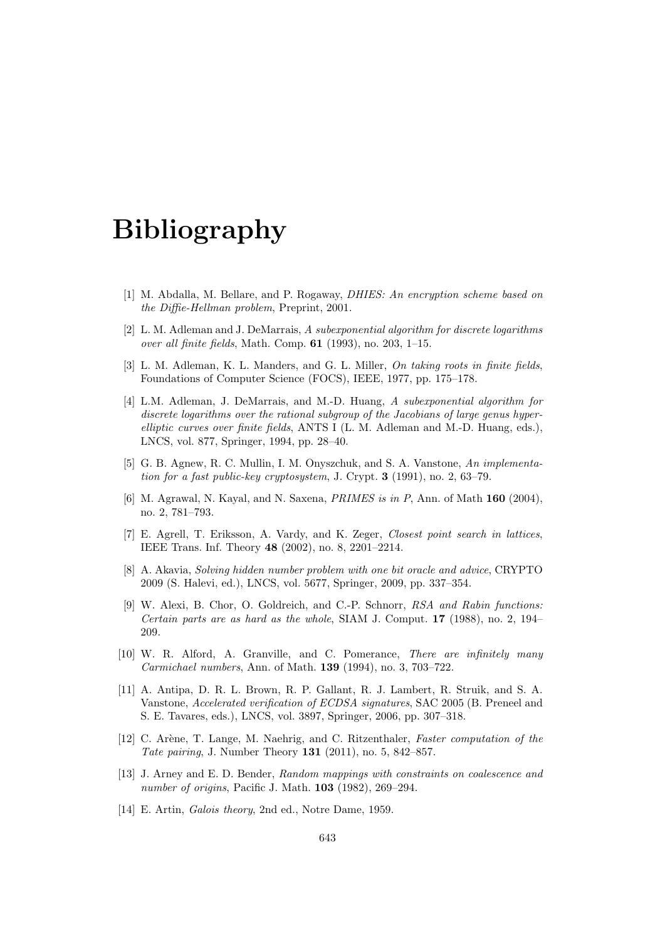## Bibliography

- [1] M. Abdalla, M. Bellare, and P. Rogaway, *DHIES: An encryption scheme based on* the Diffie-Hellman problem, Preprint, 2001.
- [2] L. M. Adleman and J. DeMarrais, A subexponential algorithm for discrete logarithms over all finite fields, Math. Comp.  $61$  (1993), no. 203, 1–15.
- [3] L. M. Adleman, K. L. Manders, and G. L. Miller, On taking roots in finite fields, Foundations of Computer Science (FOCS), IEEE, 1977, pp. 175–178.
- [4] L.M. Adleman, J. DeMarrais, and M.-D. Huang, A subexponential algorithm for discrete logarithms over the rational subgroup of the Jacobians of large genus hyperelliptic curves over finite fields, ANTS I (L. M. Adleman and M.-D. Huang, eds.), LNCS, vol. 877, Springer, 1994, pp. 28–40.
- [5] G. B. Agnew, R. C. Mullin, I. M. Onyszchuk, and S. A. Vanstone, An implementation for a fast public-key cryptosystem, J. Crypt. 3 (1991), no. 2, 63–79.
- [6] M. Agrawal, N. Kayal, and N. Saxena, PRIMES is in P, Ann. of Math 160 (2004), no. 2, 781–793.
- [7] E. Agrell, T. Eriksson, A. Vardy, and K. Zeger, Closest point search in lattices, IEEE Trans. Inf. Theory 48 (2002), no. 8, 2201–2214.
- [8] A. Akavia, Solving hidden number problem with one bit oracle and advice, CRYPTO 2009 (S. Halevi, ed.), LNCS, vol. 5677, Springer, 2009, pp. 337–354.
- [9] W. Alexi, B. Chor, O. Goldreich, and C.-P. Schnorr, RSA and Rabin functions: Certain parts are as hard as the whole, SIAM J. Comput. 17 (1988), no. 2, 194– 209.
- [10] W. R. Alford, A. Granville, and C. Pomerance, There are infinitely many Carmichael numbers, Ann. of Math. 139 (1994), no. 3, 703–722.
- [11] A. Antipa, D. R. L. Brown, R. P. Gallant, R. J. Lambert, R. Struik, and S. A. Vanstone, Accelerated verification of ECDSA signatures, SAC 2005 (B. Preneel and S. E. Tavares, eds.), LNCS, vol. 3897, Springer, 2006, pp. 307–318.
- [12] C. Arène, T. Lange, M. Naehrig, and C. Ritzenthaler, Faster computation of the Tate pairing, J. Number Theory 131 (2011), no. 5, 842–857.
- [13] J. Arney and E. D. Bender, Random mappings with constraints on coalescence and number of origins, Pacific J. Math. 103 (1982), 269–294.
- [14] E. Artin, Galois theory, 2nd ed., Notre Dame, 1959.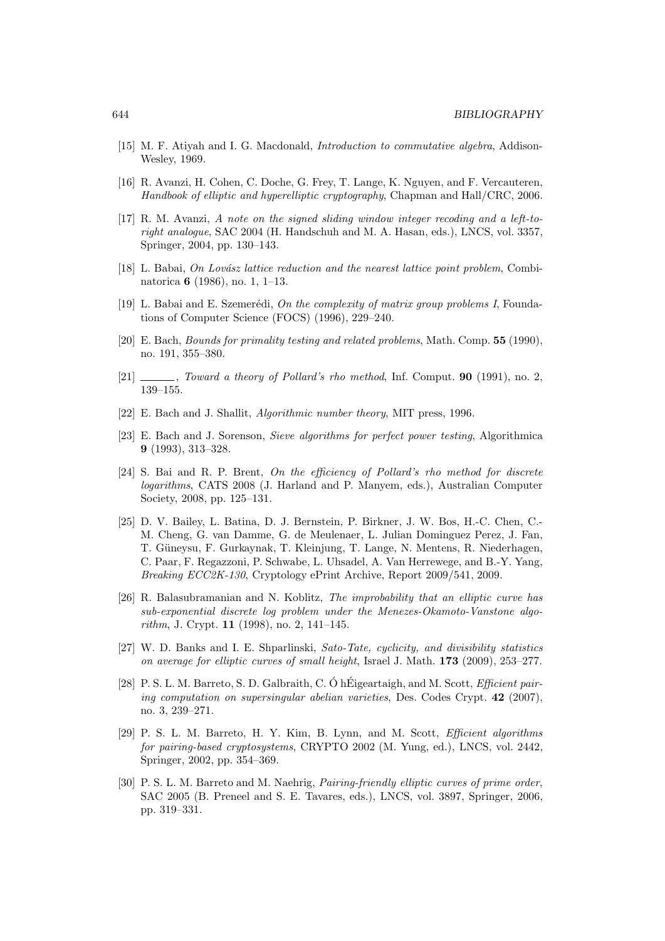- [15] M. F. Atiyah and I. G. Macdonald, Introduction to commutative algebra, Addison-Wesley, 1969.
- [16] R. Avanzi, H. Cohen, C. Doche, G. Frey, T. Lange, K. Nguyen, and F. Vercauteren, Handbook of elliptic and hyperelliptic cryptography, Chapman and Hall/CRC, 2006.
- [17] R. M. Avanzi, A note on the signed sliding window integer recoding and a left-toright analogue, SAC 2004 (H. Handschuh and M. A. Hasan, eds.), LNCS, vol. 3357, Springer, 2004, pp. 130–143.
- [18] L. Babai, On Lovász lattice reduction and the nearest lattice point problem, Combinatorica 6 (1986), no. 1, 1–13.
- [19] L. Babai and E. Szemerédi, On the complexity of matrix group problems I, Foundations of Computer Science (FOCS) (1996), 229–240.
- [20] E. Bach, Bounds for primality testing and related problems, Math. Comp. 55 (1990), no. 191, 355–380.
- [21] , Toward a theory of Pollard's rho method, Inf. Comput. **90** (1991), no. 2, 139–155.
- [22] E. Bach and J. Shallit, Algorithmic number theory, MIT press, 1996.
- [23] E. Bach and J. Sorenson, Sieve algorithms for perfect power testing, Algorithmica 9 (1993), 313–328.
- [24] S. Bai and R. P. Brent, On the efficiency of Pollard's rho method for discrete logarithms, CATS 2008 (J. Harland and P. Manyem, eds.), Australian Computer Society, 2008, pp. 125–131.
- [25] D. V. Bailey, L. Batina, D. J. Bernstein, P. Birkner, J. W. Bos, H.-C. Chen, C.- M. Cheng, G. van Damme, G. de Meulenaer, L. Julian Dominguez Perez, J. Fan, T. G¨uneysu, F. Gurkaynak, T. Kleinjung, T. Lange, N. Mentens, R. Niederhagen, C. Paar, F. Regazzoni, P. Schwabe, L. Uhsadel, A. Van Herrewege, and B.-Y. Yang, Breaking ECC2K-130, Cryptology ePrint Archive, Report 2009/541, 2009.
- [26] R. Balasubramanian and N. Koblitz, The improbability that an elliptic curve has sub-exponential discrete log problem under the Menezes-Okamoto-Vanstone algorithm, J. Crypt. 11 (1998), no. 2, 141–145.
- [27] W. D. Banks and I. E. Shparlinski, Sato-Tate, cyclicity, and divisibility statistics on average for elliptic curves of small height, Israel J. Math. 173 (2009), 253–277.
- [28] P. S. L. M. Barreto, S. D. Galbraith, C.  $\acute{O}$  h Eigeartaigh, and M. Scott, *Efficient pair*ing computation on supersingular abelian varieties, Des. Codes Crypt. 42 (2007), no. 3, 239–271.
- [29] P. S. L. M. Barreto, H. Y. Kim, B. Lynn, and M. Scott, Efficient algorithms for pairing-based cryptosystems, CRYPTO 2002 (M. Yung, ed.), LNCS, vol. 2442, Springer, 2002, pp. 354–369.
- [30] P. S. L. M. Barreto and M. Naehrig, Pairing-friendly elliptic curves of prime order, SAC 2005 (B. Preneel and S. E. Tavares, eds.), LNCS, vol. 3897, Springer, 2006, pp. 319–331.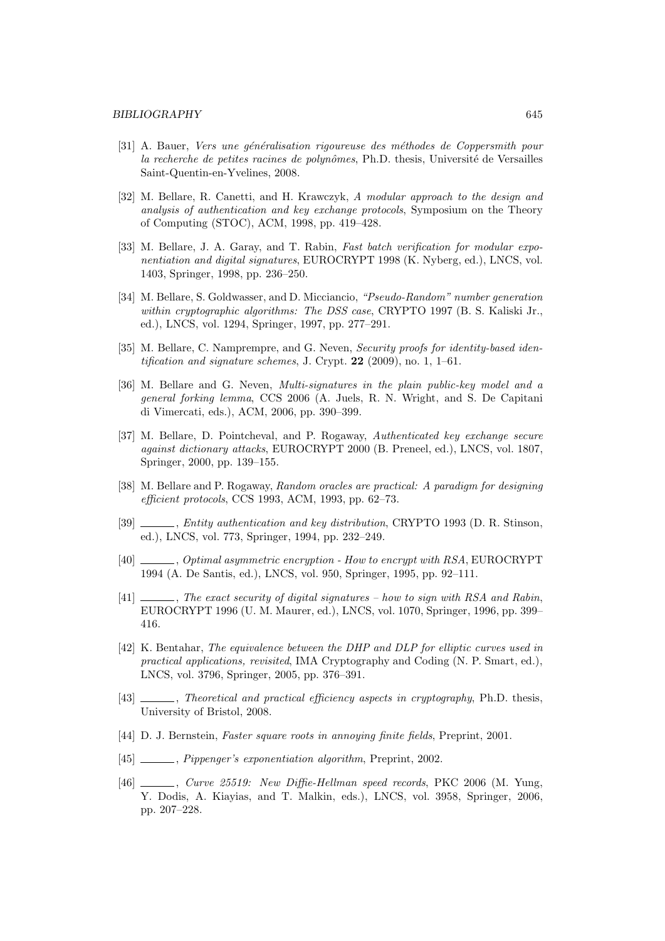- [31] A. Bauer, Vers une généralisation rigoureuse des méthodes de Coppersmith pour la recherche de petites racines de polynômes, Ph.D. thesis, Université de Versailles Saint-Quentin-en-Yvelines, 2008.
- [32] M. Bellare, R. Canetti, and H. Krawczyk, A modular approach to the design and analysis of authentication and key exchange protocols, Symposium on the Theory of Computing (STOC), ACM, 1998, pp. 419–428.
- [33] M. Bellare, J. A. Garay, and T. Rabin, Fast batch verification for modular exponentiation and digital signatures, EUROCRYPT 1998 (K. Nyberg, ed.), LNCS, vol. 1403, Springer, 1998, pp. 236–250.
- [34] M. Bellare, S. Goldwasser, and D. Micciancio, "Pseudo-Random" number generation within cryptographic algorithms: The DSS case, CRYPTO 1997 (B. S. Kaliski Jr., ed.), LNCS, vol. 1294, Springer, 1997, pp. 277–291.
- [35] M. Bellare, C. Namprempre, and G. Neven, Security proofs for identity-based identification and signature schemes, J. Crypt.  $22$  (2009), no. 1, 1–61.
- [36] M. Bellare and G. Neven, Multi-signatures in the plain public-key model and a general forking lemma, CCS 2006 (A. Juels, R. N. Wright, and S. De Capitani di Vimercati, eds.), ACM, 2006, pp. 390–399.
- [37] M. Bellare, D. Pointcheval, and P. Rogaway, Authenticated key exchange secure against dictionary attacks, EUROCRYPT 2000 (B. Preneel, ed.), LNCS, vol. 1807, Springer, 2000, pp. 139–155.
- [38] M. Bellare and P. Rogaway, Random oracles are practical: A paradiam for designing efficient protocols, CCS 1993, ACM, 1993, pp. 62–73.
- [39] , Entity authentication and key distribution, CRYPTO 1993 (D. R. Stinson, ed.), LNCS, vol. 773, Springer, 1994, pp. 232–249.
- $\qquad \qquad$ , Optimal asymmetric encryption How to encrypt with RSA, EUROCRYPT 1994 (A. De Santis, ed.), LNCS, vol. 950, Springer, 1995, pp. 92–111.
- [41]  $\frac{1}{\sqrt{1-\frac{1}{\sqrt{1-\frac{1}{\sqrt{1-\frac{1}{\sqrt{1-\frac{1}{\sqrt{1-\frac{1}{\sqrt{1-\frac{1}{\sqrt{1-\frac{1}{\sqrt{1-\frac{1}{\sqrt{1-\frac{1}{\sqrt{1-\frac{1}{\sqrt{1-\frac{1}{\sqrt{1-\frac{1}{\sqrt{1-\frac{1}{\sqrt{1-\frac{1}{\sqrt{1-\frac{1}{\sqrt{1-\frac{1}{\sqrt{1-\frac{1}{\sqrt{1-\frac{1}{\sqrt{1-\frac{1}{\sqrt{1-\frac{1}{\sqrt{1-\frac{1}{\sqrt{1-\frac{1}{\sqrt{1-\frac{1}{\sqrt{1$ EUROCRYPT 1996 (U. M. Maurer, ed.), LNCS, vol. 1070, Springer, 1996, pp. 399– 416.
- [42] K. Bentahar, The equivalence between the DHP and DLP for elliptic curves used in practical applications, revisited, IMA Cryptography and Coding (N. P. Smart, ed.), LNCS, vol. 3796, Springer, 2005, pp. 376–391.
- [43]  $\ldots$ , Theoretical and practical efficiency aspects in cryptography, Ph.D. thesis, University of Bristol, 2008.
- [44] D. J. Bernstein, Faster square roots in annoying finite fields, Preprint, 2001.
- [45] , Pippenger's exponentiation algorithm, Preprint, 2002.
- [46] , Curve 25519: New Diffie-Hellman speed records, PKC 2006 (M. Yung, Y. Dodis, A. Kiayias, and T. Malkin, eds.), LNCS, vol. 3958, Springer, 2006, pp. 207–228.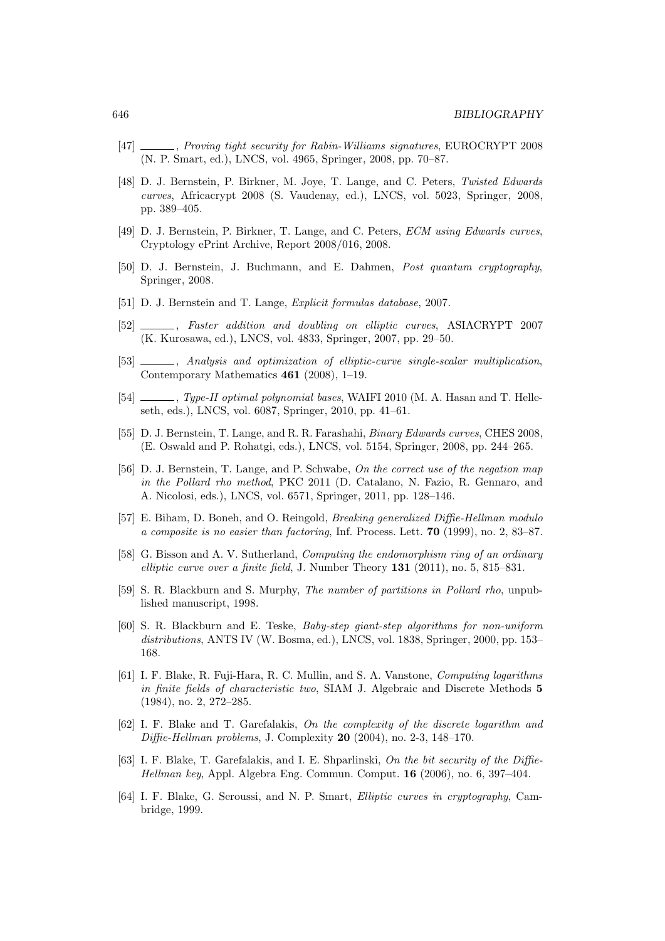- [47] , Proving tight security for Rabin-Williams signatures, EUROCRYPT 2008 (N. P. Smart, ed.), LNCS, vol. 4965, Springer, 2008, pp. 70–87.
- [48] D. J. Bernstein, P. Birkner, M. Joye, T. Lange, and C. Peters, Twisted Edwards curves, Africacrypt 2008 (S. Vaudenay, ed.), LNCS, vol. 5023, Springer, 2008, pp. 389–405.
- [49] D. J. Bernstein, P. Birkner, T. Lange, and C. Peters, ECM using Edwards curves, Cryptology ePrint Archive, Report 2008/016, 2008.
- [50] D. J. Bernstein, J. Buchmann, and E. Dahmen, Post quantum cryptography, Springer, 2008.
- [51] D. J. Bernstein and T. Lange, Explicit formulas database, 2007.
- [52]  $\frac{1}{2}$ , Faster addition and doubling on elliptic curves, ASIACRYPT 2007 (K. Kurosawa, ed.), LNCS, vol. 4833, Springer, 2007, pp. 29–50.
- [53]  $\_\_\_\_\$ , Analysis and optimization of elliptic-curve single-scalar multiplication, Contemporary Mathematics 461 (2008), 1–19.
- [54]  $\frac{1}{\sqrt{2}}$ , Type-II optimal polynomial bases, WAIFI 2010 (M. A. Hasan and T. Helleseth, eds.), LNCS, vol. 6087, Springer, 2010, pp. 41–61.
- [55] D. J. Bernstein, T. Lange, and R. R. Farashahi, Binary Edwards curves, CHES 2008, (E. Oswald and P. Rohatgi, eds.), LNCS, vol. 5154, Springer, 2008, pp. 244–265.
- [56] D. J. Bernstein, T. Lange, and P. Schwabe, On the correct use of the negation map in the Pollard rho method, PKC 2011 (D. Catalano, N. Fazio, R. Gennaro, and A. Nicolosi, eds.), LNCS, vol. 6571, Springer, 2011, pp. 128–146.
- [57] E. Biham, D. Boneh, and O. Reingold, Breaking generalized Diffie-Hellman modulo a composite is no easier than factoring, Inf. Process. Lett. 70 (1999), no. 2, 83–87.
- [58] G. Bisson and A. V. Sutherland, *Computing the endomorphism ring of an ordinary* elliptic curve over a finite field, J. Number Theory 131 (2011), no. 5, 815–831.
- [59] S. R. Blackburn and S. Murphy, The number of partitions in Pollard rho, unpublished manuscript, 1998.
- [60] S. R. Blackburn and E. Teske, Baby-step giant-step algorithms for non-uniform distributions, ANTS IV (W. Bosma, ed.), LNCS, vol. 1838, Springer, 2000, pp. 153– 168.
- [61] I. F. Blake, R. Fuji-Hara, R. C. Mullin, and S. A. Vanstone, Computing logarithms in finite fields of characteristic two, SIAM J. Algebraic and Discrete Methods 5 (1984), no. 2, 272–285.
- [62] I. F. Blake and T. Garefalakis, On the complexity of the discrete logarithm and Diffie-Hellman problems, J. Complexity 20 (2004), no. 2-3, 148–170.
- [63] I. F. Blake, T. Garefalakis, and I. E. Shparlinski, On the bit security of the Diffie-Hellman key, Appl. Algebra Eng. Commun. Comput. 16 (2006), no. 6, 397–404.
- [64] I. F. Blake, G. Seroussi, and N. P. Smart, Elliptic curves in cryptography, Cambridge, 1999.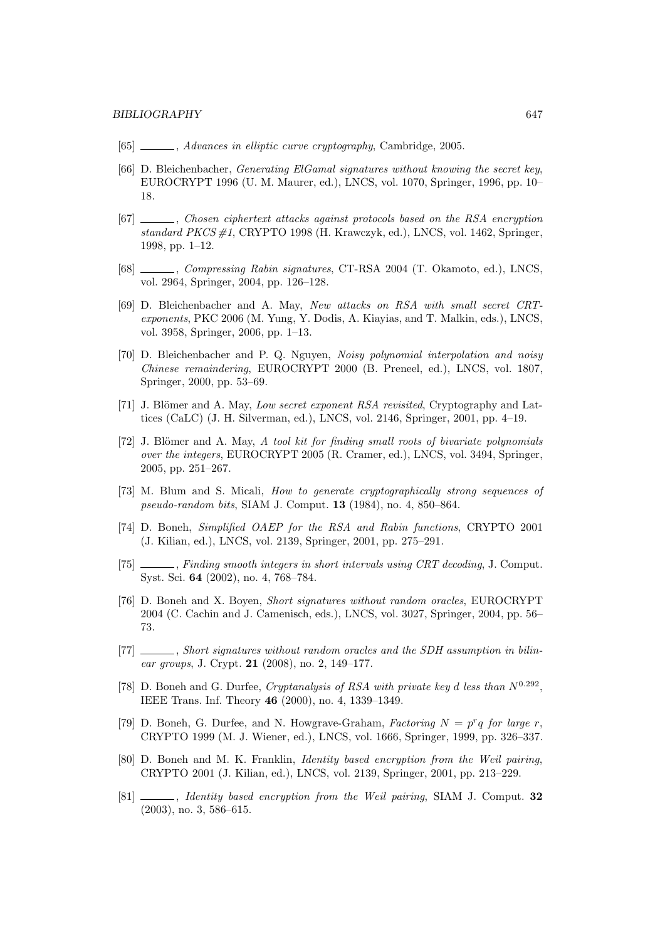- [65]  $\_\_\_\_\$ , Advances in elliptic curve cryptography, Cambridge, 2005.
- [66] D. Bleichenbacher, *Generating ElGamal signatures without knowing the secret key*, EUROCRYPT 1996 (U. M. Maurer, ed.), LNCS, vol. 1070, Springer, 1996, pp. 10– 18.
- [67]  $\ldots$ , Chosen ciphertext attacks against protocols based on the RSA encryption standard PKCS #1, CRYPTO 1998 (H. Krawczyk, ed.), LNCS, vol. 1462, Springer, 1998, pp. 1–12.
- [68] , Compressing Rabin signatures, CT-RSA 2004 (T. Okamoto, ed.), LNCS, vol. 2964, Springer, 2004, pp. 126–128.
- [69] D. Bleichenbacher and A. May, New attacks on RSA with small secret CRTexponents, PKC 2006 (M. Yung, Y. Dodis, A. Kiayias, and T. Malkin, eds.), LNCS, vol. 3958, Springer, 2006, pp. 1–13.
- [70] D. Bleichenbacher and P. Q. Nguyen, Noisy polynomial interpolation and noisy Chinese remaindering, EUROCRYPT 2000 (B. Preneel, ed.), LNCS, vol. 1807, Springer, 2000, pp. 53–69.
- [71] J. Blömer and A. May, Low secret exponent RSA revisited, Cryptography and Lattices (CaLC) (J. H. Silverman, ed.), LNCS, vol. 2146, Springer, 2001, pp. 4–19.
- [72] J. Blömer and A. May, A tool kit for finding small roots of bivariate polynomials over the integers, EUROCRYPT 2005 (R. Cramer, ed.), LNCS, vol. 3494, Springer, 2005, pp. 251–267.
- [73] M. Blum and S. Micali, How to generate cryptographically strong sequences of pseudo-random bits, SIAM J. Comput. 13 (1984), no. 4, 850–864.
- [74] D. Boneh, Simplified OAEP for the RSA and Rabin functions, CRYPTO 2001 (J. Kilian, ed.), LNCS, vol. 2139, Springer, 2001, pp. 275–291.
- [75] , Finding smooth integers in short intervals using CRT decoding, J. Comput. Syst. Sci. 64 (2002), no. 4, 768–784.
- [76] D. Boneh and X. Boyen, Short signatures without random oracles, EUROCRYPT 2004 (C. Cachin and J. Camenisch, eds.), LNCS, vol. 3027, Springer, 2004, pp. 56– 73.
- [77] , Short signatures without random oracles and the SDH assumption in bilinear groups, J. Crypt. 21 (2008), no. 2, 149–177.
- [78] D. Boneh and G. Durfee, Cryptanalysis of RSA with private key d less than  $N^{0.292}$ . IEEE Trans. Inf. Theory 46 (2000), no. 4, 1339–1349.
- [79] D. Boneh, G. Durfee, and N. Howgrave-Graham, Factoring  $N = p<sup>r</sup>q$  for large r, CRYPTO 1999 (M. J. Wiener, ed.), LNCS, vol. 1666, Springer, 1999, pp. 326–337.
- [80] D. Boneh and M. K. Franklin, Identity based encryption from the Weil pairing, CRYPTO 2001 (J. Kilian, ed.), LNCS, vol. 2139, Springer, 2001, pp. 213–229.
- [81]  $\_\_\_\_\$ , Identity based encryption from the Weil pairing, SIAM J. Comput. 32 (2003), no. 3, 586–615.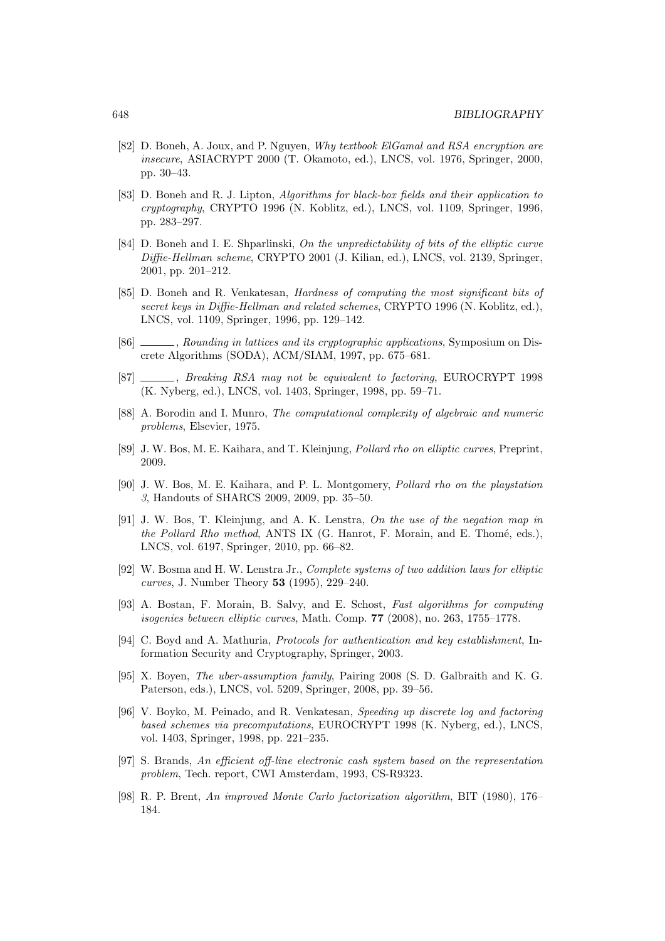- [82] D. Boneh, A. Joux, and P. Nguyen, Why textbook ElGamal and RSA encryption are insecure, ASIACRYPT 2000 (T. Okamoto, ed.), LNCS, vol. 1976, Springer, 2000, pp. 30–43.
- [83] D. Boneh and R. J. Lipton, Algorithms for black-box fields and their application to cryptography, CRYPTO 1996 (N. Koblitz, ed.), LNCS, vol. 1109, Springer, 1996, pp. 283–297.
- [84] D. Boneh and I. E. Shparlinski, On the unpredictability of bits of the elliptic curve Diffie-Hellman scheme, CRYPTO 2001 (J. Kilian, ed.), LNCS, vol. 2139, Springer, 2001, pp. 201–212.
- [85] D. Boneh and R. Venkatesan, Hardness of computing the most significant bits of secret keys in Diffie-Hellman and related schemes, CRYPTO 1996 (N. Koblitz, ed.), LNCS, vol. 1109, Springer, 1996, pp. 129–142.
- [86]  $\_\_\_\_\$ n, Rounding in lattices and its cryptographic applications, Symposium on Discrete Algorithms (SODA), ACM/SIAM, 1997, pp. 675–681.
- [87] , Breaking RSA may not be equivalent to factoring, EUROCRYPT 1998 (K. Nyberg, ed.), LNCS, vol. 1403, Springer, 1998, pp. 59–71.
- [88] A. Borodin and I. Munro, The computational complexity of algebraic and numeric problems, Elsevier, 1975.
- [89] J. W. Bos, M. E. Kaihara, and T. Kleinjung, Pollard rho on elliptic curves, Preprint, 2009.
- [90] J. W. Bos, M. E. Kaihara, and P. L. Montgomery, Pollard rho on the playstation 3, Handouts of SHARCS 2009, 2009, pp. 35–50.
- [91] J. W. Bos, T. Kleinjung, and A. K. Lenstra, On the use of the negation map in the Pollard Rho method, ANTS IX (G. Hanrot, F. Morain, and E. Thomé, eds.), LNCS, vol. 6197, Springer, 2010, pp. 66–82.
- [92] W. Bosma and H. W. Lenstra Jr., Complete systems of two addition laws for elliptic curves, J. Number Theory 53 (1995), 229–240.
- [93] A. Bostan, F. Morain, B. Salvy, and E. Schost, Fast algorithms for computing isogenies between elliptic curves, Math. Comp. 77 (2008), no. 263, 1755–1778.
- [94] C. Boyd and A. Mathuria, Protocols for authentication and key establishment, Information Security and Cryptography, Springer, 2003.
- [95] X. Boyen, The uber-assumption family, Pairing 2008 (S. D. Galbraith and K. G. Paterson, eds.), LNCS, vol. 5209, Springer, 2008, pp. 39–56.
- [96] V. Boyko, M. Peinado, and R. Venkatesan, Speeding up discrete log and factoring based schemes via precomputations, EUROCRYPT 1998 (K. Nyberg, ed.), LNCS, vol. 1403, Springer, 1998, pp. 221–235.
- [97] S. Brands, An efficient off-line electronic cash system based on the representation problem, Tech. report, CWI Amsterdam, 1993, CS-R9323.
- [98] R. P. Brent, An improved Monte Carlo factorization algorithm, BIT (1980), 176– 184.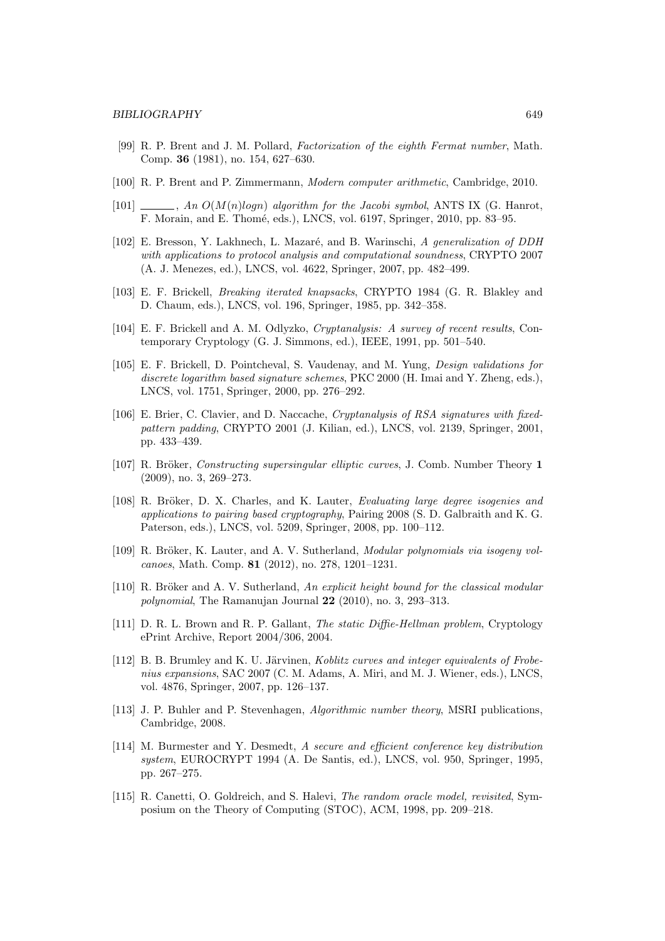- [99] R. P. Brent and J. M. Pollard, Factorization of the eighth Fermat number, Math. Comp. 36 (1981), no. 154, 627–630.
- [100] R. P. Brent and P. Zimmermann, Modern computer arithmetic, Cambridge, 2010.
- [101]  $\_\_\_\_\_$ , An  $O(M(n) \text{log} n)$  algorithm for the Jacobi symbol, ANTS IX (G. Hanrot, F. Morain, and E. Thom´e, eds.), LNCS, vol. 6197, Springer, 2010, pp. 83–95.
- [102] E. Bresson, Y. Lakhnech, L. Mazaré, and B. Warinschi, A generalization of DDH with applications to protocol analysis and computational soundness, CRYPTO 2007 (A. J. Menezes, ed.), LNCS, vol. 4622, Springer, 2007, pp. 482–499.
- [103] E. F. Brickell, Breaking iterated knapsacks, CRYPTO 1984 (G. R. Blakley and D. Chaum, eds.), LNCS, vol. 196, Springer, 1985, pp. 342–358.
- [104] E. F. Brickell and A. M. Odlyzko, *Cryptanalysis: A survey of recent results*, Contemporary Cryptology (G. J. Simmons, ed.), IEEE, 1991, pp. 501–540.
- [105] E. F. Brickell, D. Pointcheval, S. Vaudenay, and M. Yung, Design validations for discrete logarithm based signature schemes, PKC 2000 (H. Imai and Y. Zheng, eds.), LNCS, vol. 1751, Springer, 2000, pp. 276–292.
- [106] E. Brier, C. Clavier, and D. Naccache, Cryptanalysis of RSA signatures with fixedpattern padding, CRYPTO 2001 (J. Kilian, ed.), LNCS, vol. 2139, Springer, 2001, pp. 433–439.
- [107] R. Bröker, Constructing supersingular elliptic curves, J. Comb. Number Theory 1 (2009), no. 3, 269–273.
- [108] R. Bröker, D. X. Charles, and K. Lauter, *Evaluating large degree isogenies and* applications to pairing based cryptography, Pairing 2008 (S. D. Galbraith and K. G. Paterson, eds.), LNCS, vol. 5209, Springer, 2008, pp. 100–112.
- [109] R. Bröker, K. Lauter, and A. V. Sutherland, *Modular polynomials via isogeny vol*canoes, Math. Comp. 81 (2012), no. 278, 1201–1231.
- [110] R. Bröker and A. V. Sutherland, An explicit height bound for the classical modular polynomial, The Ramanujan Journal 22 (2010), no. 3, 293–313.
- [111] D. R. L. Brown and R. P. Gallant, The static Diffie-Hellman problem, Cryptology ePrint Archive, Report 2004/306, 2004.
- [112] B. B. Brumley and K. U. Järvinen, *Koblitz curves and integer equivalents of Frobe*nius expansions, SAC 2007 (C. M. Adams, A. Miri, and M. J. Wiener, eds.), LNCS, vol. 4876, Springer, 2007, pp. 126–137.
- [113] J. P. Buhler and P. Stevenhagen, Algorithmic number theory, MSRI publications, Cambridge, 2008.
- [114] M. Burmester and Y. Desmedt, A secure and efficient conference key distribution system, EUROCRYPT 1994 (A. De Santis, ed.), LNCS, vol. 950, Springer, 1995, pp. 267–275.
- [115] R. Canetti, O. Goldreich, and S. Halevi, *The random oracle model, revisited*, Symposium on the Theory of Computing (STOC), ACM, 1998, pp. 209–218.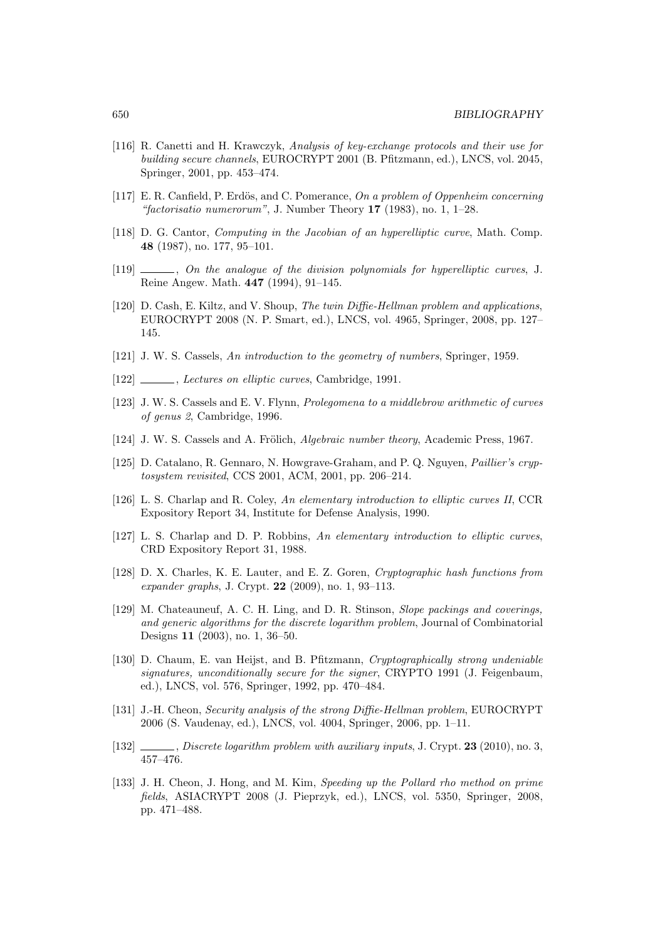- [116] R. Canetti and H. Krawczyk, Analysis of key-exchange protocols and their use for building secure channels, EUROCRYPT 2001 (B. Pfitzmann, ed.), LNCS, vol. 2045, Springer, 2001, pp. 453–474.
- [117] E. R. Canfield, P. Erdös, and C. Pomerance, On a problem of Oppenheim concerning "factorisatio numerorum", J. Number Theory  $17$  (1983), no. 1, 1–28.
- [118] D. G. Cantor, Computing in the Jacobian of an hyperelliptic curve, Math. Comp. 48 (1987), no. 177, 95–101.
- [119]  $\ldots$ , On the analogue of the division polynomials for hyperelliptic curves, J. Reine Angew. Math. 447 (1994), 91–145.
- [120] D. Cash, E. Kiltz, and V. Shoup, The twin Diffie-Hellman problem and applications, EUROCRYPT 2008 (N. P. Smart, ed.), LNCS, vol. 4965, Springer, 2008, pp. 127– 145.
- [121] J. W. S. Cassels, An introduction to the geometry of numbers, Springer, 1959.
- [122] \_\_\_\_\_\_, Lectures on elliptic curves, Cambridge, 1991.
- [123] J. W. S. Cassels and E. V. Flynn, Prolegomena to a middlebrow arithmetic of curves of genus 2, Cambridge, 1996.
- [124] J. W. S. Cassels and A. Frölich, *Algebraic number theory*, Academic Press, 1967.
- [125] D. Catalano, R. Gennaro, N. Howgrave-Graham, and P. Q. Nguyen, Paillier's cryptosystem revisited, CCS 2001, ACM, 2001, pp. 206–214.
- [126] L. S. Charlap and R. Coley, An elementary introduction to elliptic curves II, CCR Expository Report 34, Institute for Defense Analysis, 1990.
- [127] L. S. Charlap and D. P. Robbins, An elementary introduction to elliptic curves, CRD Expository Report 31, 1988.
- [128] D. X. Charles, K. E. Lauter, and E. Z. Goren, Cryptographic hash functions from expander graphs, J. Crypt. 22 (2009), no. 1, 93–113.
- [129] M. Chateauneuf, A. C. H. Ling, and D. R. Stinson, Slope packings and coverings, and generic algorithms for the discrete logarithm problem, Journal of Combinatorial Designs 11 (2003), no. 1, 36–50.
- [130] D. Chaum, E. van Heijst, and B. Pfitzmann, Cryptographically strong undeniable signatures, unconditionally secure for the signer, CRYPTO 1991 (J. Feigenbaum, ed.), LNCS, vol. 576, Springer, 1992, pp. 470–484.
- [131] J.-H. Cheon, Security analysis of the strong Diffie-Hellman problem, EUROCRYPT 2006 (S. Vaudenay, ed.), LNCS, vol. 4004, Springer, 2006, pp. 1–11.
- [132] , Discrete logarithm problem with auxiliary inputs, J. Crypt. 23 (2010), no. 3, 457–476.
- [133] J. H. Cheon, J. Hong, and M. Kim, Speeding up the Pollard rho method on prime fields, ASIACRYPT 2008 (J. Pieprzyk, ed.), LNCS, vol. 5350, Springer, 2008, pp. 471–488.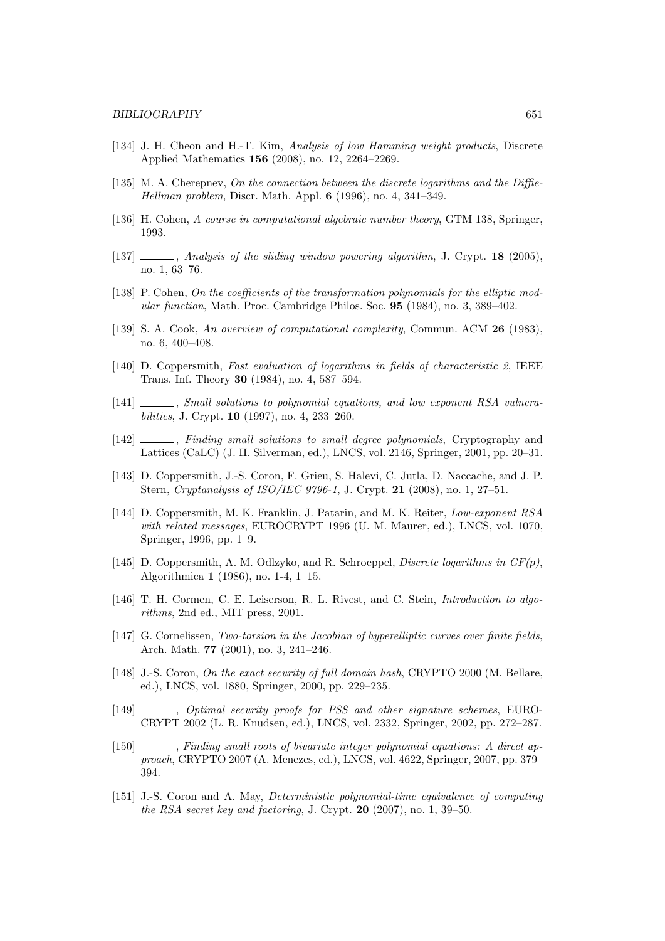- [134] J. H. Cheon and H.-T. Kim, Analysis of low Hamming weight products, Discrete Applied Mathematics 156 (2008), no. 12, 2264–2269.
- [135] M. A. Cherepney, On the connection between the discrete logarithms and the Diffie-Hellman problem, Discr. Math. Appl. 6 (1996), no. 4, 341–349.
- [136] H. Cohen, A course in computational algebraic number theory, GTM 138, Springer, 1993.
- [137]  $\qquad \qquad$ , Analysis of the sliding window powering algorithm, J. Crypt. 18 (2005), no. 1, 63–76.
- [138] P. Cohen, On the coefficients of the transformation polynomials for the elliptic modular function, Math. Proc. Cambridge Philos. Soc. 95 (1984), no. 3, 389–402.
- [139] S. A. Cook, An overview of computational complexity, Commun. ACM 26 (1983), no. 6, 400–408.
- [140] D. Coppersmith, Fast evaluation of logarithms in fields of characteristic 2, IEEE Trans. Inf. Theory 30 (1984), no. 4, 587–594.
- [141]  $\_\_\_\_\_\_\$  Small solutions to polynomial equations, and low exponent RSA vulnerabilities, J. Crypt. 10 (1997), no. 4, 233–260.
- [142]  $\qquad \qquad$ , Finding small solutions to small degree polynomials, Cryptography and Lattices (CaLC) (J. H. Silverman, ed.), LNCS, vol. 2146, Springer, 2001, pp. 20–31.
- [143] D. Coppersmith, J.-S. Coron, F. Grieu, S. Halevi, C. Jutla, D. Naccache, and J. P. Stern, Cryptanalysis of ISO/IEC 9796-1, J. Crypt. 21 (2008), no. 1, 27–51.
- [144] D. Coppersmith, M. K. Franklin, J. Patarin, and M. K. Reiter, Low-exponent RSA with related messages, EUROCRYPT 1996 (U. M. Maurer, ed.), LNCS, vol. 1070, Springer, 1996, pp. 1–9.
- [145] D. Coppersmith, A. M. Odlzyko, and R. Schroeppel, *Discrete logarithms in*  $GF(p)$ , Algorithmica 1 (1986), no. 1-4, 1–15.
- [146] T. H. Cormen, C. E. Leiserson, R. L. Rivest, and C. Stein, *Introduction to algo*rithms, 2nd ed., MIT press, 2001.
- [147] G. Cornelissen, Two-torsion in the Jacobian of hyperelliptic curves over finite fields, Arch. Math. 77 (2001), no. 3, 241–246.
- [148] J.-S. Coron, On the exact security of full domain hash, CRYPTO 2000 (M. Bellare, ed.), LNCS, vol. 1880, Springer, 2000, pp. 229–235.
- [149]  $\qquad \qquad$ , Optimal security proofs for PSS and other signature schemes, EURO-CRYPT 2002 (L. R. Knudsen, ed.), LNCS, vol. 2332, Springer, 2002, pp. 272–287.
- [150] , Finding small roots of bivariate integer polynomial equations: A direct approach, CRYPTO 2007 (A. Menezes, ed.), LNCS, vol. 4622, Springer, 2007, pp. 379– 394.
- [151] J.-S. Coron and A. May, Deterministic polynomial-time equivalence of computing the RSA secret key and factoring, J. Crypt. 20 (2007), no. 1, 39–50.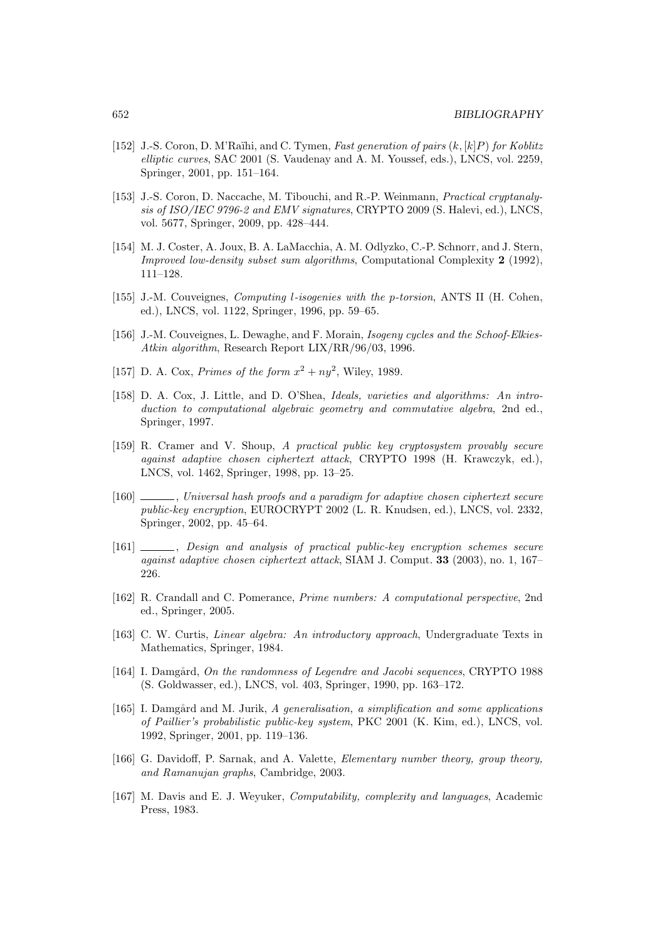- [152] J.-S. Coron, D. M'Raïhi, and C. Tymen, Fast generation of pairs  $(k, [k]P)$  for Koblitz elliptic curves, SAC 2001 (S. Vaudenay and A. M. Youssef, eds.), LNCS, vol. 2259, Springer, 2001, pp. 151–164.
- [153] J.-S. Coron, D. Naccache, M. Tibouchi, and R.-P. Weinmann, Practical cryptanalysis of ISO/IEC 9796-2 and EMV signatures, CRYPTO 2009 (S. Halevi, ed.), LNCS, vol. 5677, Springer, 2009, pp. 428–444.
- [154] M. J. Coster, A. Joux, B. A. LaMacchia, A. M. Odlyzko, C.-P. Schnorr, and J. Stern, Improved low-density subset sum algorithms, Computational Complexity 2 (1992), 111–128.
- [155] J.-M. Couveignes, Computing l-isogenies with the p-torsion, ANTS II (H. Cohen, ed.), LNCS, vol. 1122, Springer, 1996, pp. 59–65.
- [156] J.-M. Couveignes, L. Dewaghe, and F. Morain, Isogeny cycles and the Schoof-Elkies-Atkin algorithm, Research Report LIX/RR/96/03, 1996.
- [157] D. A. Cox, Primes of the form  $x^2 + ny^2$ , Wiley, 1989.
- [158] D. A. Cox, J. Little, and D. O'Shea, *Ideals, varieties and algorithms: An intro*duction to computational algebraic geometry and commutative algebra, 2nd ed., Springer, 1997.
- [159] R. Cramer and V. Shoup, A practical public key cryptosystem provably secure against adaptive chosen ciphertext attack, CRYPTO 1998 (H. Krawczyk, ed.), LNCS, vol. 1462, Springer, 1998, pp. 13–25.
- [160]  $\ldots$ , Universal hash proofs and a paradigm for adaptive chosen ciphertext secure public-key encryption, EUROCRYPT 2002 (L. R. Knudsen, ed.), LNCS, vol. 2332, Springer, 2002, pp. 45–64.
- [161] , Design and analysis of practical public-key encryption schemes secure against adaptive chosen ciphertext attack, SIAM J. Comput. 33 (2003), no. 1, 167– 226.
- [162] R. Crandall and C. Pomerance, Prime numbers: A computational perspective, 2nd ed., Springer, 2005.
- [163] C. W. Curtis, *Linear algebra: An introductory approach*, Undergraduate Texts in Mathematics, Springer, 1984.
- [164] I. Damgård, On the randomness of Legendre and Jacobi sequences, CRYPTO 1988 (S. Goldwasser, ed.), LNCS, vol. 403, Springer, 1990, pp. 163–172.
- [165] I. Damgård and M. Jurik, A generalisation, a simplification and some applications of Paillier's probabilistic public-key system, PKC 2001 (K. Kim, ed.), LNCS, vol. 1992, Springer, 2001, pp. 119–136.
- [166] G. Davidoff, P. Sarnak, and A. Valette, *Elementary number theory, group theory*, and Ramanujan graphs, Cambridge, 2003.
- [167] M. Davis and E. J. Weyuker, Computability, complexity and languages, Academic Press, 1983.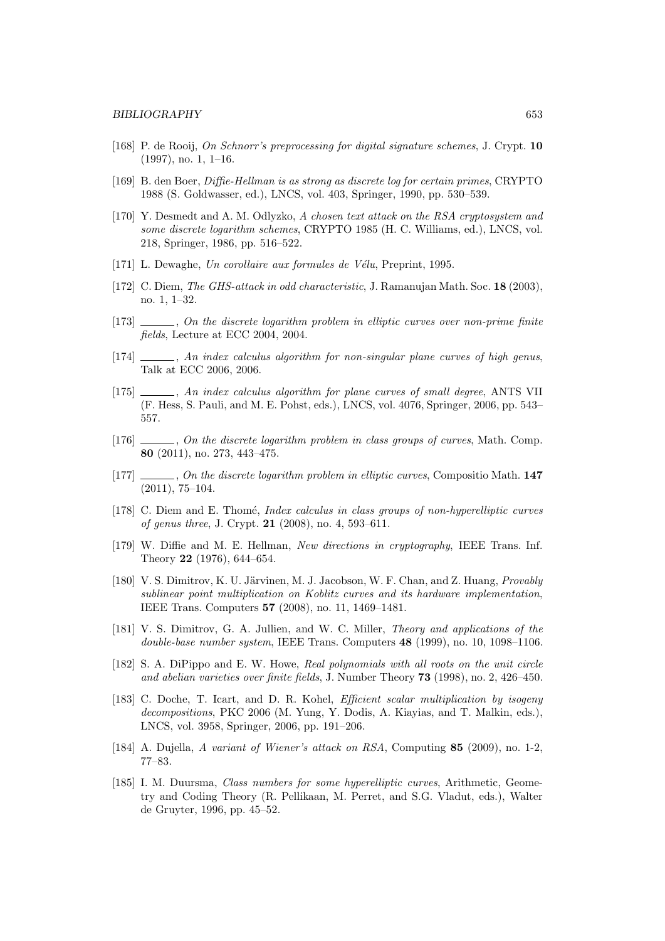- [168] P. de Rooij, On Schnorr's preprocessing for digital signature schemes, J. Crypt. 10  $(1997)$ , no. 1, 1–16.
- [169] B. den Boer, Diffie-Hellman is as strong as discrete log for certain primes, CRYPTO 1988 (S. Goldwasser, ed.), LNCS, vol. 403, Springer, 1990, pp. 530–539.
- [170] Y. Desmedt and A. M. Odlyzko, A chosen text attack on the RSA cryptosystem and some discrete logarithm schemes, CRYPTO 1985 (H. C. Williams, ed.), LNCS, vol. 218, Springer, 1986, pp. 516–522.
- [171] L. Dewaghe, Un corollaire aux formules de Vélu, Preprint, 1995.
- [172] C. Diem, The GHS-attack in odd characteristic, J. Ramanujan Math. Soc. 18 (2003), no. 1, 1–32.
- [173]  $\ldots$ , On the discrete logarithm problem in elliptic curves over non-prime finite fields, Lecture at ECC 2004, 2004.
- [174] , An index calculus algorithm for non-singular plane curves of high genus, Talk at ECC 2006, 2006.
- [175]  $\ldots$ , An index calculus algorithm for plane curves of small degree, ANTS VII (F. Hess, S. Pauli, and M. E. Pohst, eds.), LNCS, vol. 4076, Springer, 2006, pp. 543– 557.
- [176]  $\ldots$ , On the discrete logarithm problem in class groups of curves, Math. Comp. 80 (2011), no. 273, 443–475.
- [177] , On the discrete logarithm problem in elliptic curves, Compositio Math. 147 (2011), 75–104.
- [178] C. Diem and E. Thomé, *Index calculus in class groups of non-hyperelliptic curves* of genus three, J. Crypt. 21 (2008), no. 4, 593–611.
- [179] W. Diffie and M. E. Hellman, New directions in cryptography, IEEE Trans. Inf. Theory 22 (1976), 644–654.
- [180] V. S. Dimitrov, K. U. Järvinen, M. J. Jacobson, W. F. Chan, and Z. Huang, *Provably* sublinear point multiplication on Koblitz curves and its hardware implementation, IEEE Trans. Computers 57 (2008), no. 11, 1469–1481.
- [181] V. S. Dimitrov, G. A. Jullien, and W. C. Miller, Theory and applications of the double-base number system, IEEE Trans. Computers 48 (1999), no. 10, 1098–1106.
- [182] S. A. DiPippo and E. W. Howe, Real polynomials with all roots on the unit circle and abelian varieties over finite fields, J. Number Theory 73 (1998), no. 2, 426–450.
- [183] C. Doche, T. Icart, and D. R. Kohel, Efficient scalar multiplication by isogeny decompositions, PKC 2006 (M. Yung, Y. Dodis, A. Kiayias, and T. Malkin, eds.), LNCS, vol. 3958, Springer, 2006, pp. 191–206.
- [184] A. Dujella, A variant of Wiener's attack on RSA, Computing 85 (2009), no. 1-2, 77–83.
- [185] I. M. Duursma, Class numbers for some hyperelliptic curves, Arithmetic, Geometry and Coding Theory (R. Pellikaan, M. Perret, and S.G. Vladut, eds.), Walter de Gruyter, 1996, pp. 45–52.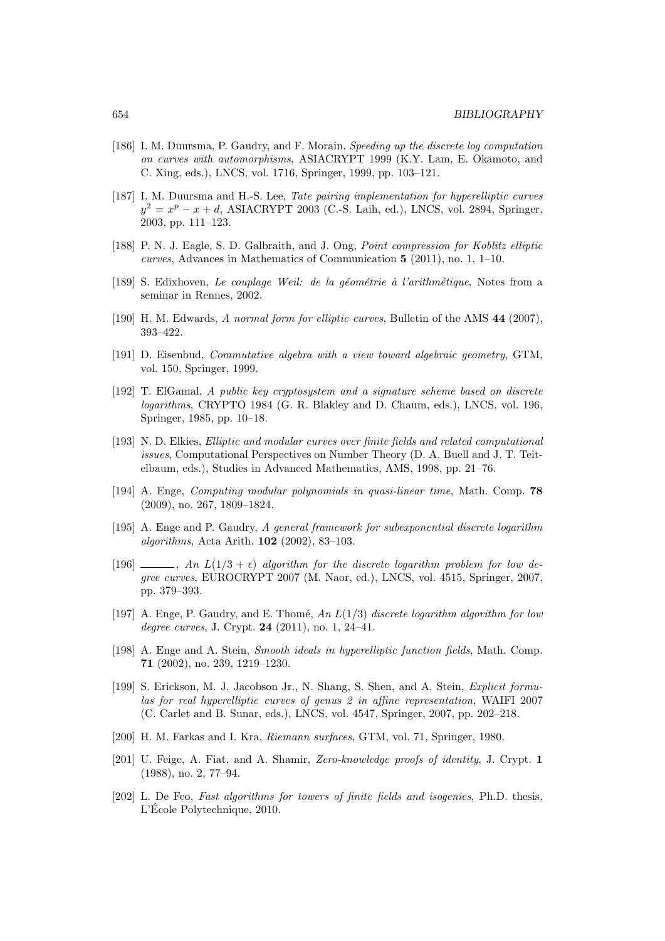- [186] I. M. Duursma, P. Gaudry, and F. Morain, Speeding up the discrete log computation on curves with automorphisms, ASIACRYPT 1999 (K.Y. Lam, E. Okamoto, and C. Xing, eds.), LNCS, vol. 1716, Springer, 1999, pp. 103–121.
- [187] I. M. Duursma and H.-S. Lee, Tate pairing implementation for hyperelliptic curves  $y^2 = x^p - x + d$ , ASIACRYPT 2003 (C.-S. Laih, ed.), LNCS, vol. 2894, Springer, 2003, pp. 111–123.
- [188] P. N. J. Eagle, S. D. Galbraith, and J. Ong, Point compression for Koblitz elliptic curves, Advances in Mathematics of Communication  $5$  (2011), no. 1, 1–10.
- [189] S. Edixhoven, Le couplage Weil: de la géométrie à l'arithmétique, Notes from a seminar in Rennes, 2002.
- [190] H. M. Edwards, A normal form for elliptic curves, Bulletin of the AMS 44 (2007), 393–422.
- [191] D. Eisenbud, Commutative algebra with a view toward algebraic geometry, GTM, vol. 150, Springer, 1999.
- [192] T. ElGamal, A public key cryptosystem and a signature scheme based on discrete logarithms, CRYPTO 1984 (G. R. Blakley and D. Chaum, eds.), LNCS, vol. 196, Springer, 1985, pp. 10–18.
- [193] N. D. Elkies, Elliptic and modular curves over finite fields and related computational issues, Computational Perspectives on Number Theory (D. A. Buell and J. T. Teitelbaum, eds.), Studies in Advanced Mathematics, AMS, 1998, pp. 21–76.
- [194] A. Enge, Computing modular polynomials in quasi-linear time, Math. Comp. 78 (2009), no. 267, 1809–1824.
- [195] A. Enge and P. Gaudry, A general framework for subexponential discrete logarithm algorithms, Acta Arith. 102 (2002), 83–103.
- [196]  $\ldots$ , An  $L(1/3 + \epsilon)$  algorithm for the discrete logarithm problem for low degree curves, EUROCRYPT 2007 (M. Naor, ed.), LNCS, vol. 4515, Springer, 2007, pp. 379–393.
- [197] A. Enge, P. Gaudry, and E. Thomé, An  $L(1/3)$  discrete logarithm algorithm for low degree curves, J. Crypt. 24 (2011), no. 1, 24–41.
- [198] A. Enge and A. Stein, Smooth ideals in hyperelliptic function fields, Math. Comp. 71 (2002), no. 239, 1219–1230.
- [199] S. Erickson, M. J. Jacobson Jr., N. Shang, S. Shen, and A. Stein, Explicit formulas for real hyperelliptic curves of genus 2 in affine representation, WAIFI 2007 (C. Carlet and B. Sunar, eds.), LNCS, vol. 4547, Springer, 2007, pp. 202–218.
- [200] H. M. Farkas and I. Kra, Riemann surfaces, GTM, vol. 71, Springer, 1980.
- [201] U. Feige, A. Fiat, and A. Shamir, Zero-knowledge proofs of identity, J. Crypt. 1 (1988), no. 2, 77–94.
- [202] L. De Feo, Fast algorithms for towers of finite fields and isogenies, Ph.D. thesis, L'École Polytechnique, 2010.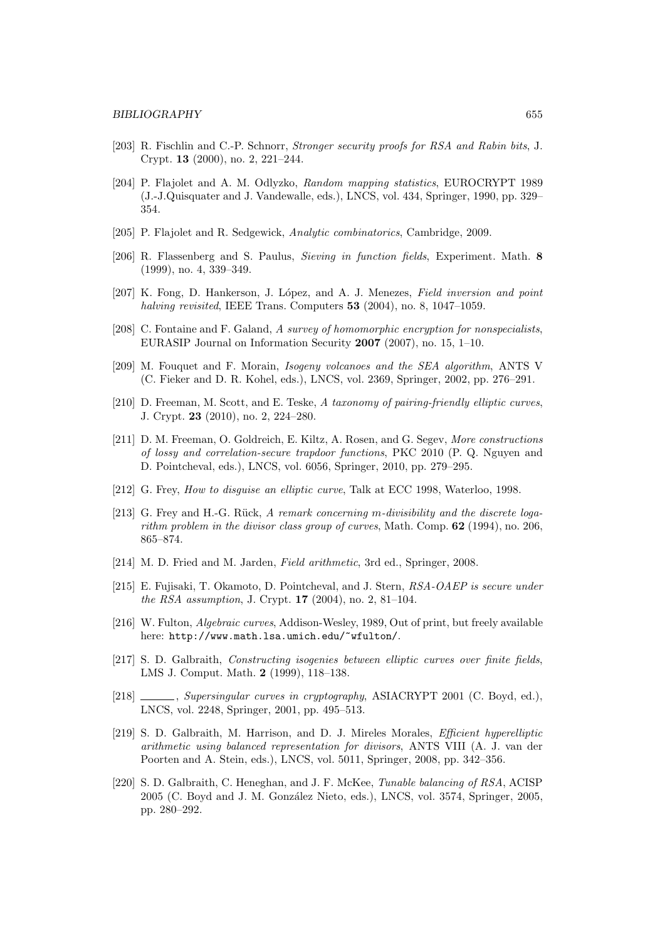- [203] R. Fischlin and C.-P. Schnorr, Stronger security proofs for RSA and Rabin bits, J. Crypt. 13 (2000), no. 2, 221–244.
- [204] P. Flajolet and A. M. Odlyzko, Random mapping statistics, EUROCRYPT 1989 (J.-J.Quisquater and J. Vandewalle, eds.), LNCS, vol. 434, Springer, 1990, pp. 329– 354.
- [205] P. Flajolet and R. Sedgewick, Analytic combinatorics, Cambridge, 2009.
- [206] R. Flassenberg and S. Paulus, Sieving in function fields, Experiment. Math. 8 (1999), no. 4, 339–349.
- [207] K. Fong, D. Hankerson, J. López, and A. J. Menezes, Field inversion and point halving revisited, IEEE Trans. Computers **53** (2004), no. 8, 1047–1059.
- [208] C. Fontaine and F. Galand, A survey of homomorphic encryption for nonspecialists, EURASIP Journal on Information Security 2007 (2007), no. 15, 1–10.
- [209] M. Fouquet and F. Morain, Isogeny volcanoes and the SEA algorithm, ANTS V (C. Fieker and D. R. Kohel, eds.), LNCS, vol. 2369, Springer, 2002, pp. 276–291.
- [210] D. Freeman, M. Scott, and E. Teske, A taxonomy of pairing-friendly elliptic curves, J. Crypt. 23 (2010), no. 2, 224–280.
- [211] D. M. Freeman, O. Goldreich, E. Kiltz, A. Rosen, and G. Segev, More constructions of lossy and correlation-secure trapdoor functions, PKC 2010 (P. Q. Nguyen and D. Pointcheval, eds.), LNCS, vol. 6056, Springer, 2010, pp. 279–295.
- [212] G. Frey, *How to disquise an elliptic curve*, Talk at ECC 1998, Waterloo, 1998.
- [213] G. Frey and H.-G. Rück, A remark concerning m-divisibility and the discrete logarithm problem in the divisor class group of curves, Math. Comp.  $62$  (1994), no. 206, 865–874.
- [214] M. D. Fried and M. Jarden, Field arithmetic, 3rd ed., Springer, 2008.
- [215] E. Fujisaki, T. Okamoto, D. Pointcheval, and J. Stern, RSA-OAEP is secure under the RSA assumption, J. Crypt. 17 (2004), no. 2, 81–104.
- [216] W. Fulton, Algebraic curves, Addison-Wesley, 1989, Out of print, but freely available here: http://www.math.lsa.umich.edu/~wfulton/.
- [217] S. D. Galbraith, Constructing isogenies between elliptic curves over finite fields, LMS J. Comput. Math. 2 (1999), 118–138.
- [218] Supersingular curves in cryptography, ASIACRYPT 2001 (C. Boyd, ed.), LNCS, vol. 2248, Springer, 2001, pp. 495–513.
- [219] S. D. Galbraith, M. Harrison, and D. J. Mireles Morales, Efficient hyperelliptic arithmetic using balanced representation for divisors, ANTS VIII (A. J. van der Poorten and A. Stein, eds.), LNCS, vol. 5011, Springer, 2008, pp. 342–356.
- [220] S. D. Galbraith, C. Heneghan, and J. F. McKee, Tunable balancing of RSA, ACISP 2005 (C. Boyd and J. M. Gonz´alez Nieto, eds.), LNCS, vol. 3574, Springer, 2005, pp. 280–292.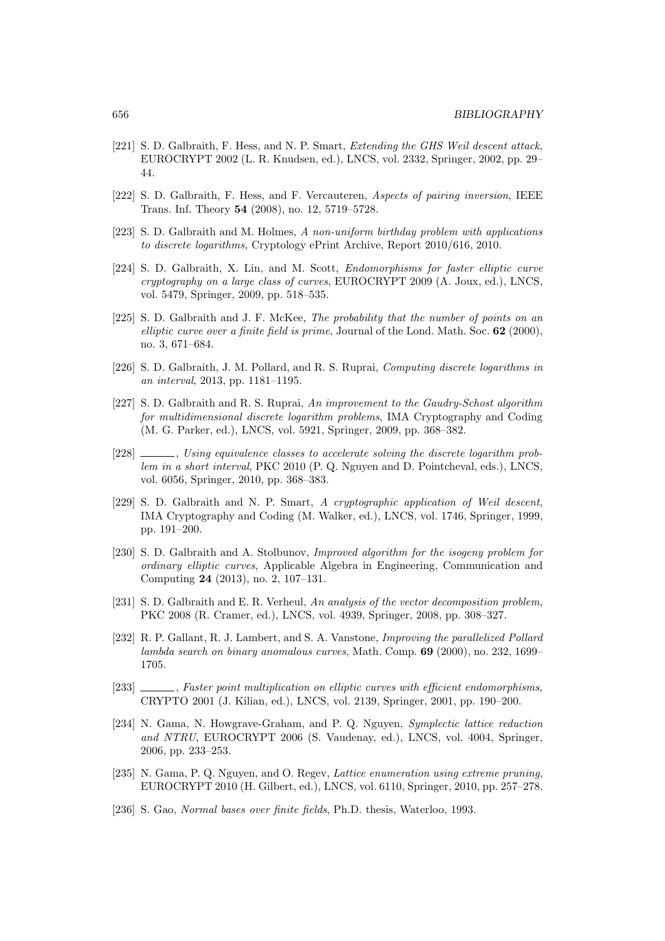- [221] S. D. Galbraith, F. Hess, and N. P. Smart, Extending the GHS Weil descent attack, EUROCRYPT 2002 (L. R. Knudsen, ed.), LNCS, vol. 2332, Springer, 2002, pp. 29– 44.
- [222] S. D. Galbraith, F. Hess, and F. Vercauteren, Aspects of pairing inversion, IEEE Trans. Inf. Theory 54 (2008), no. 12, 5719–5728.
- [223] S. D. Galbraith and M. Holmes, A non-uniform birthday problem with applications to discrete logarithms, Cryptology ePrint Archive, Report 2010/616, 2010.
- [224] S. D. Galbraith, X. Lin, and M. Scott, Endomorphisms for faster elliptic curve cryptography on a large class of curves, EUROCRYPT 2009 (A. Joux, ed.), LNCS, vol. 5479, Springer, 2009, pp. 518–535.
- [225] S. D. Galbraith and J. F. McKee, The probability that the number of points on an elliptic curve over a finite field is prime, Journal of the Lond. Math. Soc.  $62$  (2000), no. 3, 671–684.
- [226] S. D. Galbraith, J. M. Pollard, and R. S. Ruprai, Computing discrete logarithms in an interval, 2013, pp. 1181–1195.
- [227] S. D. Galbraith and R. S. Ruprai, An improvement to the Gaudry-Schost algorithm for multidimensional discrete logarithm problems, IMA Cryptography and Coding (M. G. Parker, ed.), LNCS, vol. 5921, Springer, 2009, pp. 368–382.
- [228]  $\_\_\_\_\_\_\_\_\$  Using equivalence classes to accelerate solving the discrete logarithm problem in a short interval, PKC 2010 (P. Q. Nguyen and D. Pointcheval, eds.), LNCS, vol. 6056, Springer, 2010, pp. 368–383.
- [229] S. D. Galbraith and N. P. Smart, A cryptographic application of Weil descent, IMA Cryptography and Coding (M. Walker, ed.), LNCS, vol. 1746, Springer, 1999, pp. 191–200.
- [230] S. D. Galbraith and A. Stolbunov, *Improved algorithm for the isogeny problem for* ordinary elliptic curves, Applicable Algebra in Engineering, Communication and Computing 24 (2013), no. 2, 107–131.
- [231] S. D. Galbraith and E. R. Verheul, An analysis of the vector decomposition problem, PKC 2008 (R. Cramer, ed.), LNCS, vol. 4939, Springer, 2008, pp. 308–327.
- [232] R. P. Gallant, R. J. Lambert, and S. A. Vanstone, Improving the parallelized Pollard lambda search on binary anomalous curves, Math. Comp. 69 (2000), no. 232, 1699– 1705.
- [233] , Faster point multiplication on elliptic curves with efficient endomorphisms, CRYPTO 2001 (J. Kilian, ed.), LNCS, vol. 2139, Springer, 2001, pp. 190–200.
- [234] N. Gama, N. Howgrave-Graham, and P. Q. Nguyen, Symplectic lattice reduction and NTRU, EUROCRYPT 2006 (S. Vaudenay, ed.), LNCS, vol. 4004, Springer, 2006, pp. 233–253.
- [235] N. Gama, P. Q. Nguyen, and O. Regev, Lattice enumeration using extreme pruning, EUROCRYPT 2010 (H. Gilbert, ed.), LNCS, vol. 6110, Springer, 2010, pp. 257–278.
- [236] S. Gao, Normal bases over finite fields, Ph.D. thesis, Waterloo, 1993.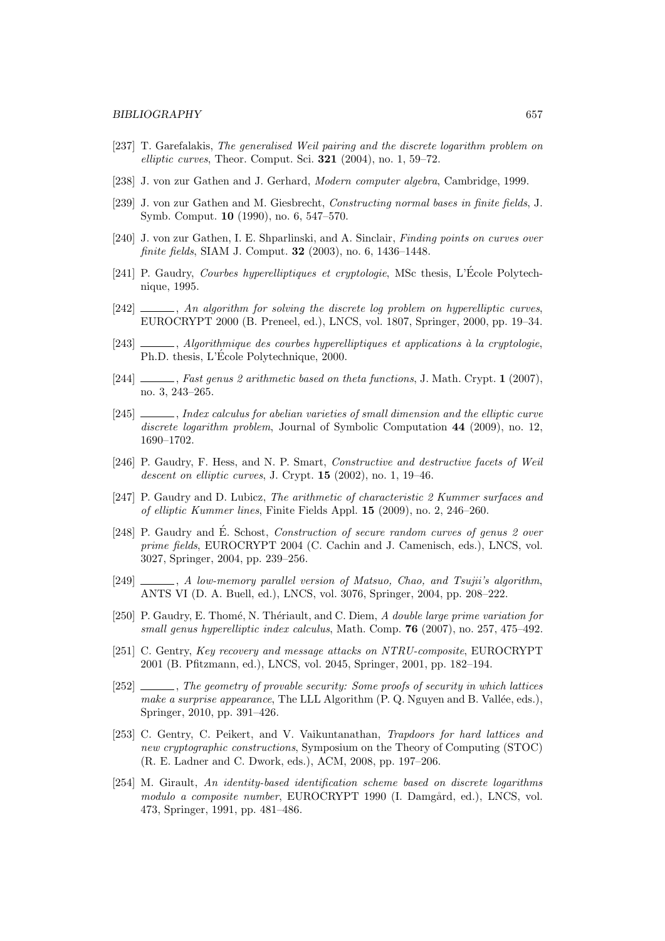- [237] T. Garefalakis, The generalised Weil pairing and the discrete logarithm problem on elliptic curves, Theor. Comput. Sci.  $321$  (2004), no. 1, 59–72.
- [238] J. von zur Gathen and J. Gerhard, Modern computer algebra, Cambridge, 1999.
- [239] J. von zur Gathen and M. Giesbrecht, Constructing normal bases in finite fields, J. Symb. Comput. 10 (1990), no. 6, 547–570.
- [240] J. von zur Gathen, I. E. Shparlinski, and A. Sinclair, Finding points on curves over finite fields, SIAM J. Comput. 32 (2003), no. 6, 1436–1448.
- [241] P. Gaudry, Courbes hyperelliptiques et cryptologie, MSc thesis, L'École Polytechnique, 1995.
- [242]  $\ldots$ , An algorithm for solving the discrete log problem on hyperelliptic curves, EUROCRYPT 2000 (B. Preneel, ed.), LNCS, vol. 1807, Springer, 2000, pp. 19–34.
- $[243]$   $\_\_\_\_\$ n, Algorithmique des courbes hyperelliptiques et applications à la cryptologie, Ph.D. thesis, L'Ecole Polytechnique, 2000. ´
- [244] , Fast genus 2 arithmetic based on theta functions, J. Math. Crypt. 1 (2007), no. 3, 243–265.
- [245]  $\frac{1}{245}$ , Index calculus for abelian varieties of small dimension and the elliptic curve discrete logarithm problem, Journal of Symbolic Computation 44 (2009), no. 12, 1690–1702.
- [246] P. Gaudry, F. Hess, and N. P. Smart, Constructive and destructive facets of Weil descent on elliptic curves, J. Crypt.  $15$  (2002), no. 1, 19–46.
- [247] P. Gaudry and D. Lubicz, The arithmetic of characteristic 2 Kummer surfaces and of elliptic Kummer lines, Finite Fields Appl. 15 (2009), no. 2, 246–260.
- [248] P. Gaudry and É. Schost, *Construction of secure random curves of genus 2 over* prime fields, EUROCRYPT 2004 (C. Cachin and J. Camenisch, eds.), LNCS, vol. 3027, Springer, 2004, pp. 239–256.
- [249]  $\ldots$ , A low-memory parallel version of Matsuo, Chao, and Tsujii's algorithm, ANTS VI (D. A. Buell, ed.), LNCS, vol. 3076, Springer, 2004, pp. 208–222.
- [250] P. Gaudry, E. Thomé, N. Thériault, and C. Diem, A double large prime variation for small genus hyperelliptic index calculus, Math. Comp. 76 (2007), no. 257, 475–492.
- [251] C. Gentry, Key recovery and message attacks on NTRU-composite, EUROCRYPT 2001 (B. Pfitzmann, ed.), LNCS, vol. 2045, Springer, 2001, pp. 182–194.
- [252]  $\ldots$ , The geometry of provable security: Some proofs of security in which lattices make a surprise appearance, The LLL Algorithm  $(P, Q, Nguyen)$  and B. Vallée, eds.), Springer, 2010, pp. 391–426.
- [253] C. Gentry, C. Peikert, and V. Vaikuntanathan, Trapdoors for hard lattices and new cryptographic constructions, Symposium on the Theory of Computing (STOC) (R. E. Ladner and C. Dwork, eds.), ACM, 2008, pp. 197–206.
- [254] M. Girault, An identity-based identification scheme based on discrete logarithms modulo a composite number, EUROCRYPT 1990 (I. Damgård, ed.), LNCS, vol. 473, Springer, 1991, pp. 481–486.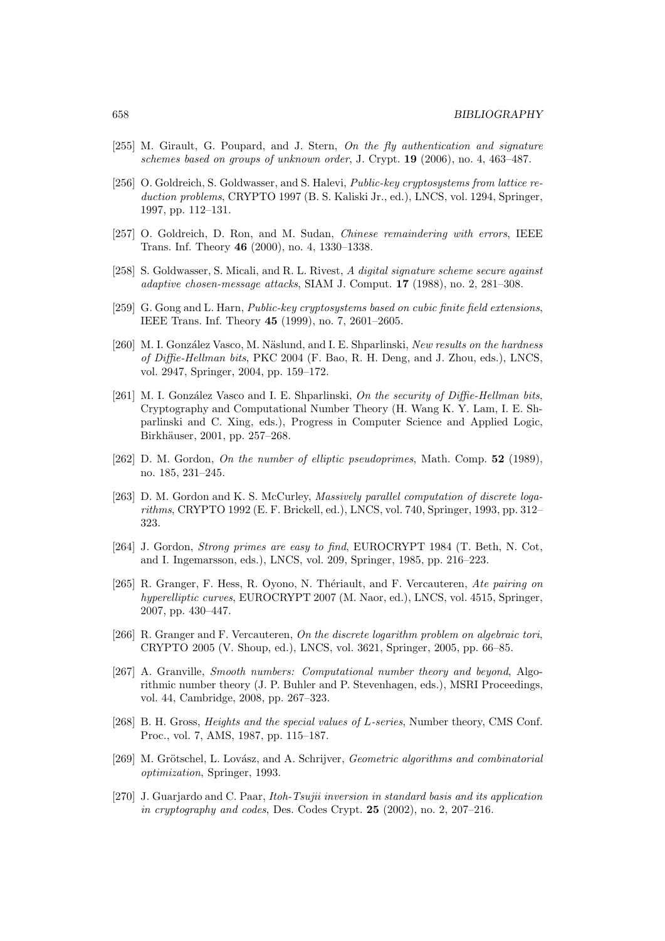- [255] M. Girault, G. Poupard, and J. Stern, On the fly authentication and signature schemes based on groups of unknown order, J. Crypt. 19 (2006), no. 4, 463–487.
- [256] O. Goldreich, S. Goldwasser, and S. Halevi, Public-key cryptosystems from lattice reduction problems, CRYPTO 1997 (B. S. Kaliski Jr., ed.), LNCS, vol. 1294, Springer, 1997, pp. 112–131.
- [257] O. Goldreich, D. Ron, and M. Sudan, Chinese remaindering with errors, IEEE Trans. Inf. Theory 46 (2000), no. 4, 1330–1338.
- [258] S. Goldwasser, S. Micali, and R. L. Rivest, A digital signature scheme secure against adaptive chosen-message attacks, SIAM J. Comput. 17 (1988), no. 2, 281–308.
- [259] G. Gong and L. Harn, Public-key cryptosystems based on cubic finite field extensions, IEEE Trans. Inf. Theory 45 (1999), no. 7, 2601–2605.
- [260] M. I. González Vasco, M. Näslund, and I. E. Shparlinski, New results on the hardness of Diffie-Hellman bits, PKC 2004 (F. Bao, R. H. Deng, and J. Zhou, eds.), LNCS, vol. 2947, Springer, 2004, pp. 159–172.
- [261] M. I. González Vasco and I. E. Shparlinski, On the security of Diffie-Hellman bits, Cryptography and Computational Number Theory (H. Wang K. Y. Lam, I. E. Shparlinski and C. Xing, eds.), Progress in Computer Science and Applied Logic, Birkhäuser, 2001, pp. 257–268.
- [262] D. M. Gordon, On the number of elliptic pseudoprimes, Math. Comp. 52 (1989), no. 185, 231–245.
- [263] D. M. Gordon and K. S. McCurley, Massively parallel computation of discrete logarithms, CRYPTO 1992 (E. F. Brickell, ed.), LNCS, vol. 740, Springer, 1993, pp. 312– 323.
- [264] J. Gordon, Strong primes are easy to find, EUROCRYPT 1984 (T. Beth, N. Cot, and I. Ingemarsson, eds.), LNCS, vol. 209, Springer, 1985, pp. 216–223.
- [265] R. Granger, F. Hess, R. Oyono, N. Thériault, and F. Vercauteren, Ate pairing on hyperelliptic curves, EUROCRYPT 2007 (M. Naor, ed.), LNCS, vol. 4515, Springer, 2007, pp. 430–447.
- [266] R. Granger and F. Vercauteren, On the discrete logarithm problem on algebraic tori, CRYPTO 2005 (V. Shoup, ed.), LNCS, vol. 3621, Springer, 2005, pp. 66–85.
- [267] A. Granville, Smooth numbers: Computational number theory and beyond, Algorithmic number theory (J. P. Buhler and P. Stevenhagen, eds.), MSRI Proceedings, vol. 44, Cambridge, 2008, pp. 267–323.
- [268] B. H. Gross, *Heights and the special values of L-series*, Number theory, CMS Conf. Proc., vol. 7, AMS, 1987, pp. 115–187.
- [269] M. Grötschel, L. Lovász, and A. Schrijver, Geometric algorithms and combinatorial optimization, Springer, 1993.
- [270] J. Guarjardo and C. Paar, Itoh-Tsujii inversion in standard basis and its application in cryptography and codes, Des. Codes Crypt. 25 (2002), no. 2, 207–216.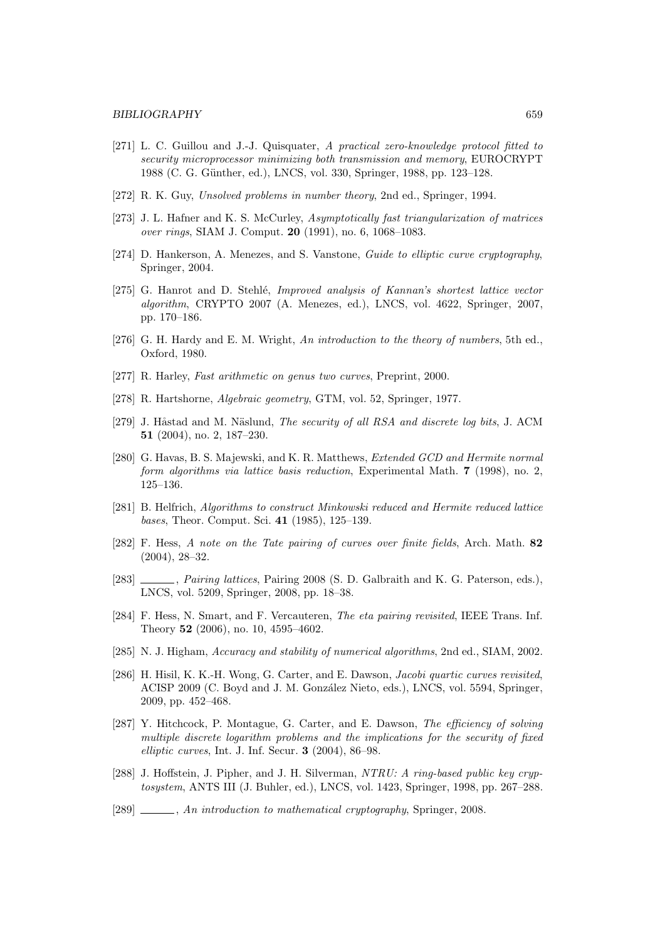- [271] L. C. Guillou and J.-J. Quisquater, A practical zero-knowledge protocol fitted to security microprocessor minimizing both transmission and memory, EUROCRYPT 1988 (C. G. G¨unther, ed.), LNCS, vol. 330, Springer, 1988, pp. 123–128.
- [272] R. K. Guy, Unsolved problems in number theory, 2nd ed., Springer, 1994.
- [273] J. L. Hafner and K. S. McCurley, Asymptotically fast triangularization of matrices over rings, SIAM J. Comput. 20 (1991), no. 6, 1068–1083.
- [274] D. Hankerson, A. Menezes, and S. Vanstone, Guide to elliptic curve cryptography, Springer, 2004.
- [275] G. Hanrot and D. Stehlé, Improved analysis of Kannan's shortest lattice vector algorithm, CRYPTO 2007 (A. Menezes, ed.), LNCS, vol. 4622, Springer, 2007, pp. 170–186.
- [276] G. H. Hardy and E. M. Wright, An introduction to the theory of numbers, 5th ed., Oxford, 1980.
- [277] R. Harley, Fast arithmetic on genus two curves, Preprint, 2000.
- [278] R. Hartshorne, Algebraic geometry, GTM, vol. 52, Springer, 1977.
- [279] J. Håstad and M. Näslund, *The security of all RSA and discrete log bits*, J. ACM 51 (2004), no. 2, 187–230.
- [280] G. Havas, B. S. Majewski, and K. R. Matthews, Extended GCD and Hermite normal form algorithms via lattice basis reduction, Experimental Math. 7 (1998), no. 2, 125–136.
- [281] B. Helfrich, Algorithms to construct Minkowski reduced and Hermite reduced lattice bases, Theor. Comput. Sci. 41 (1985), 125–139.
- [282] F. Hess, A note on the Tate pairing of curves over finite fields, Arch. Math. 82 (2004), 28–32.
- [283] , Pairing lattices, Pairing 2008 (S. D. Galbraith and K. G. Paterson, eds.), LNCS, vol. 5209, Springer, 2008, pp. 18–38.
- [284] F. Hess, N. Smart, and F. Vercauteren, The eta pairing revisited, IEEE Trans. Inf. Theory 52 (2006), no. 10, 4595–4602.
- [285] N. J. Higham, Accuracy and stability of numerical algorithms, 2nd ed., SIAM, 2002.
- [286] H. Hisil, K. K.-H. Wong, G. Carter, and E. Dawson, Jacobi quartic curves revisited, ACISP 2009 (C. Boyd and J. M. González Nieto, eds.), LNCS, vol. 5594, Springer, 2009, pp. 452–468.
- [287] Y. Hitchcock, P. Montague, G. Carter, and E. Dawson, The efficiency of solving multiple discrete logarithm problems and the implications for the security of fixed elliptic curves, Int. J. Inf. Secur. 3 (2004), 86–98.
- [288] J. Hoffstein, J. Pipher, and J. H. Silverman, NTRU: A ring-based public key cryptosystem, ANTS III (J. Buhler, ed.), LNCS, vol. 1423, Springer, 1998, pp. 267–288.
- [289] , An introduction to mathematical cryptography, Springer, 2008.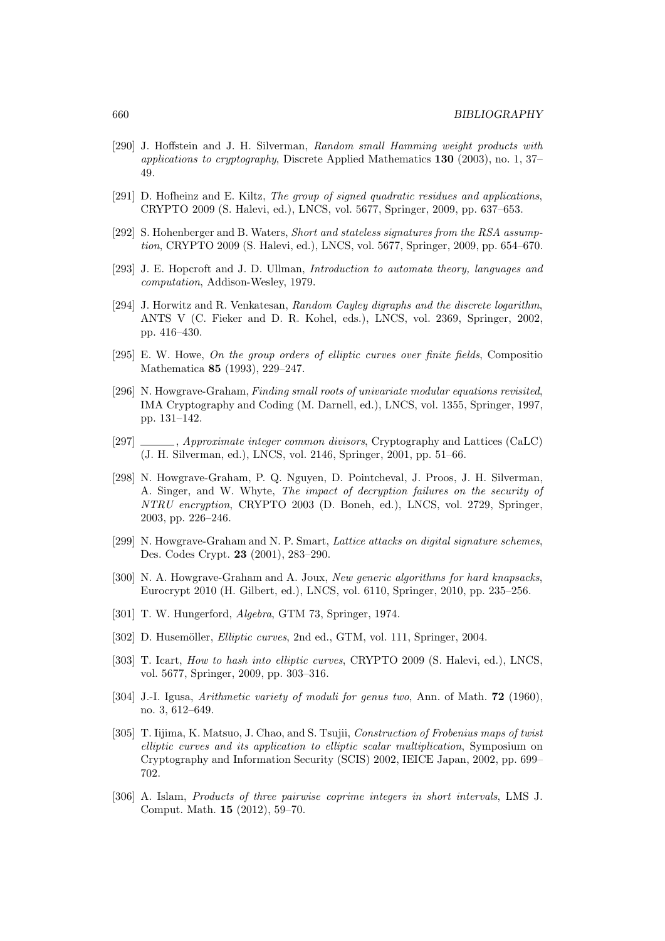- [290] J. Hoffstein and J. H. Silverman, Random small Hamming weight products with applications to cryptography, Discrete Applied Mathematics 130 (2003), no. 1, 37– 49.
- [291] D. Hofheinz and E. Kiltz, The group of signed quadratic residues and applications, CRYPTO 2009 (S. Halevi, ed.), LNCS, vol. 5677, Springer, 2009, pp. 637–653.
- [292] S. Hohenberger and B. Waters, Short and stateless signatures from the RSA assumption, CRYPTO 2009 (S. Halevi, ed.), LNCS, vol. 5677, Springer, 2009, pp. 654–670.
- [293] J. E. Hopcroft and J. D. Ullman, Introduction to automata theory, languages and computation, Addison-Wesley, 1979.
- [294] J. Horwitz and R. Venkatesan, Random Cayley digraphs and the discrete logarithm, ANTS V (C. Fieker and D. R. Kohel, eds.), LNCS, vol. 2369, Springer, 2002, pp. 416–430.
- [295] E. W. Howe, On the group orders of elliptic curves over finite fields, Compositio Mathematica 85 (1993), 229–247.
- [296] N. Howgrave-Graham, Finding small roots of univariate modular equations revisited, IMA Cryptography and Coding (M. Darnell, ed.), LNCS, vol. 1355, Springer, 1997, pp. 131–142.
- [297]  $\_\_\_\_\$ , Approximate integer common divisors, Cryptography and Lattices (CaLC) (J. H. Silverman, ed.), LNCS, vol. 2146, Springer, 2001, pp. 51–66.
- [298] N. Howgrave-Graham, P. Q. Nguyen, D. Pointcheval, J. Proos, J. H. Silverman, A. Singer, and W. Whyte, The impact of decryption failures on the security of NTRU encryption, CRYPTO 2003 (D. Boneh, ed.), LNCS, vol. 2729, Springer, 2003, pp. 226–246.
- [299] N. Howgrave-Graham and N. P. Smart, Lattice attacks on digital signature schemes, Des. Codes Crypt. 23 (2001), 283–290.
- [300] N. A. Howgrave-Graham and A. Joux, New generic algorithms for hard knapsacks, Eurocrypt 2010 (H. Gilbert, ed.), LNCS, vol. 6110, Springer, 2010, pp. 235–256.
- [301] T. W. Hungerford, Algebra, GTM 73, Springer, 1974.
- [302] D. Husemöller, *Elliptic curves*, 2nd ed., GTM, vol. 111, Springer, 2004.
- [303] T. Icart, How to hash into elliptic curves, CRYPTO 2009 (S. Halevi, ed.), LNCS, vol. 5677, Springer, 2009, pp. 303–316.
- [304] J.-I. Igusa, Arithmetic variety of moduli for genus two, Ann. of Math. 72 (1960), no. 3, 612–649.
- [305] T. Iijima, K. Matsuo, J. Chao, and S. Tsujii, *Construction of Frobenius maps of twist* elliptic curves and its application to elliptic scalar multiplication, Symposium on Cryptography and Information Security (SCIS) 2002, IEICE Japan, 2002, pp. 699– 702.
- [306] A. Islam, Products of three pairwise coprime integers in short intervals, LMS J. Comput. Math. 15 (2012), 59–70.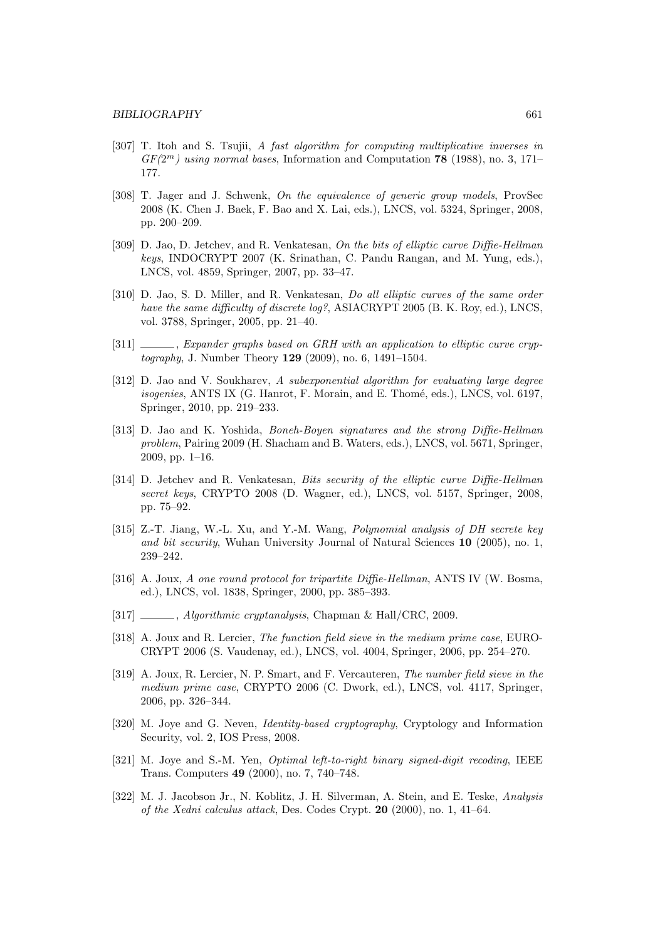- [307] T. Itoh and S. Tsujii, A fast algorithm for computing multiplicative inverses in  $GF(2<sup>m</sup>)$  using normal bases, Information and Computation 78 (1988), no. 3, 171– 177.
- [308] T. Jager and J. Schwenk, On the equivalence of generic group models, ProvSec 2008 (K. Chen J. Baek, F. Bao and X. Lai, eds.), LNCS, vol. 5324, Springer, 2008, pp. 200–209.
- [309] D. Jao, D. Jetchev, and R. Venkatesan, On the bits of elliptic curve Diffie-Hellman keys, INDOCRYPT 2007 (K. Srinathan, C. Pandu Rangan, and M. Yung, eds.), LNCS, vol. 4859, Springer, 2007, pp. 33–47.
- [310] D. Jao, S. D. Miller, and R. Venkatesan, *Do all elliptic curves of the same order* have the same difficulty of discrete log?, ASIACRYPT 2005 (B. K. Roy, ed.), LNCS, vol. 3788, Springer, 2005, pp. 21–40.
- [311]  $\_\_\_\_\_\$  Expander graphs based on GRH with an application to elliptic curve cryptography, J. Number Theory 129 (2009), no. 6, 1491–1504.
- [312] D. Jao and V. Soukharev, A subexponential algorithm for evaluating large degree isogenies, ANTS IX (G. Hanrot, F. Morain, and E. Thomé, eds.), LNCS, vol. 6197, Springer, 2010, pp. 219–233.
- [313] D. Jao and K. Yoshida, Boneh-Boyen signatures and the strong Diffie-Hellman problem, Pairing 2009 (H. Shacham and B. Waters, eds.), LNCS, vol. 5671, Springer, 2009, pp. 1–16.
- [314] D. Jetchev and R. Venkatesan, *Bits security of the elliptic curve Diffie-Hellman* secret keys, CRYPTO 2008 (D. Wagner, ed.), LNCS, vol. 5157, Springer, 2008, pp. 75–92.
- [315] Z.-T. Jiang, W.-L. Xu, and Y.-M. Wang, Polynomial analysis of DH secrete key and bit security, Wuhan University Journal of Natural Sciences 10 (2005), no. 1, 239–242.
- [316] A. Joux, A one round protocol for tripartite Diffie-Hellman, ANTS IV (W. Bosma, ed.), LNCS, vol. 1838, Springer, 2000, pp. 385–393.
- [317]  $\_\_\_\_\$  Algorithmic cryptanalysis, Chapman & Hall/CRC, 2009.
- [318] A. Joux and R. Lercier, The function field sieve in the medium prime case, EURO-CRYPT 2006 (S. Vaudenay, ed.), LNCS, vol. 4004, Springer, 2006, pp. 254–270.
- [319] A. Joux, R. Lercier, N. P. Smart, and F. Vercauteren, The number field sieve in the medium prime case, CRYPTO 2006 (C. Dwork, ed.), LNCS, vol. 4117, Springer, 2006, pp. 326–344.
- [320] M. Joye and G. Neven, Identity-based cryptography, Cryptology and Information Security, vol. 2, IOS Press, 2008.
- [321] M. Joye and S.-M. Yen, *Optimal left-to-right binary signed-digit recoding*, IEEE Trans. Computers 49 (2000), no. 7, 740–748.
- [322] M. J. Jacobson Jr., N. Koblitz, J. H. Silverman, A. Stein, and E. Teske, Analysis of the Xedni calculus attack, Des. Codes Crypt. 20 (2000), no. 1, 41–64.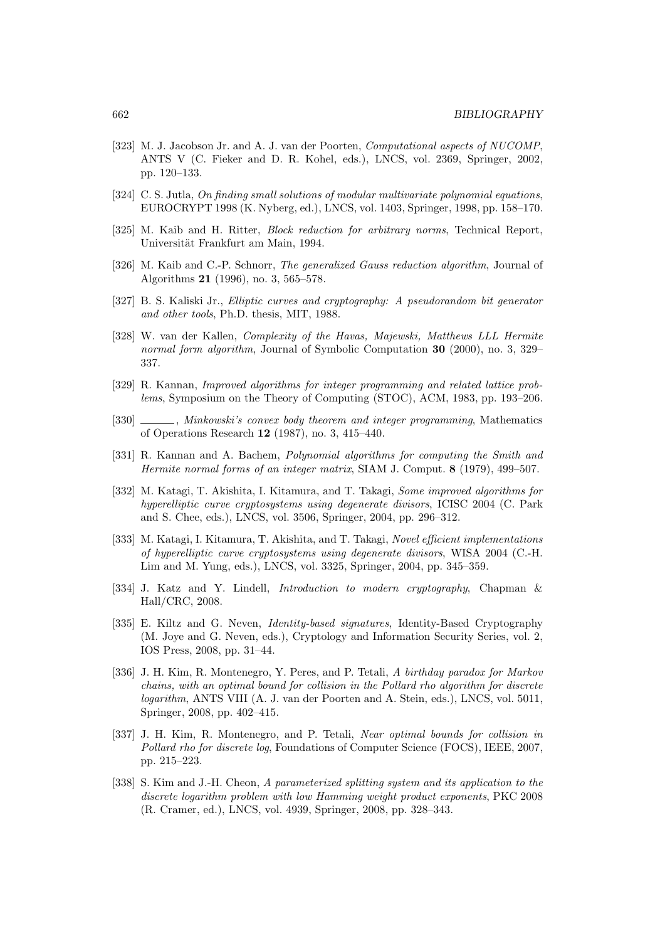- [323] M. J. Jacobson Jr. and A. J. van der Poorten, *Computational aspects of NUCOMP*, ANTS V (C. Fieker and D. R. Kohel, eds.), LNCS, vol. 2369, Springer, 2002, pp. 120–133.
- [324] C. S. Jutla, On finding small solutions of modular multivariate polynomial equations, EUROCRYPT 1998 (K. Nyberg, ed.), LNCS, vol. 1403, Springer, 1998, pp. 158–170.
- [325] M. Kaib and H. Ritter, *Block reduction for arbitrary norms*, Technical Report, Universität Frankfurt am Main, 1994.
- [326] M. Kaib and C.-P. Schnorr, *The generalized Gauss reduction algorithm*, Journal of Algorithms 21 (1996), no. 3, 565–578.
- [327] B. S. Kaliski Jr., Elliptic curves and cryptography: A pseudorandom bit generator and other tools, Ph.D. thesis, MIT, 1988.
- [328] W. van der Kallen, Complexity of the Havas, Majewski, Matthews LLL Hermite normal form algorithm, Journal of Symbolic Computation 30 (2000), no. 3, 329– 337.
- [329] R. Kannan, Improved algorithms for integer programming and related lattice problems, Symposium on the Theory of Computing (STOC), ACM, 1983, pp. 193–206.
- [330] , Minkowski's convex body theorem and integer programming, Mathematics of Operations Research 12 (1987), no. 3, 415–440.
- [331] R. Kannan and A. Bachem, *Polynomial algorithms for computing the Smith and* Hermite normal forms of an integer matrix, SIAM J. Comput. 8 (1979), 499–507.
- [332] M. Katagi, T. Akishita, I. Kitamura, and T. Takagi, Some improved algorithms for hyperelliptic curve cryptosystems using degenerate divisors, ICISC 2004 (C. Park and S. Chee, eds.), LNCS, vol. 3506, Springer, 2004, pp. 296–312.
- [333] M. Katagi, I. Kitamura, T. Akishita, and T. Takagi, Novel efficient implementations of hyperelliptic curve cryptosystems using degenerate divisors, WISA 2004 (C.-H. Lim and M. Yung, eds.), LNCS, vol. 3325, Springer, 2004, pp. 345–359.
- [334] J. Katz and Y. Lindell, Introduction to modern cryptography, Chapman & Hall/CRC, 2008.
- [335] E. Kiltz and G. Neven, Identity-based signatures, Identity-Based Cryptography (M. Joye and G. Neven, eds.), Cryptology and Information Security Series, vol. 2, IOS Press, 2008, pp. 31–44.
- [336] J. H. Kim, R. Montenegro, Y. Peres, and P. Tetali, A birthday paradox for Markov chains, with an optimal bound for collision in the Pollard rho algorithm for discrete logarithm, ANTS VIII (A. J. van der Poorten and A. Stein, eds.), LNCS, vol. 5011, Springer, 2008, pp. 402–415.
- [337] J. H. Kim, R. Montenegro, and P. Tetali, Near optimal bounds for collision in Pollard rho for discrete log, Foundations of Computer Science (FOCS), IEEE, 2007, pp. 215–223.
- [338] S. Kim and J.-H. Cheon, A parameterized splitting system and its application to the discrete logarithm problem with low Hamming weight product exponents, PKC 2008 (R. Cramer, ed.), LNCS, vol. 4939, Springer, 2008, pp. 328–343.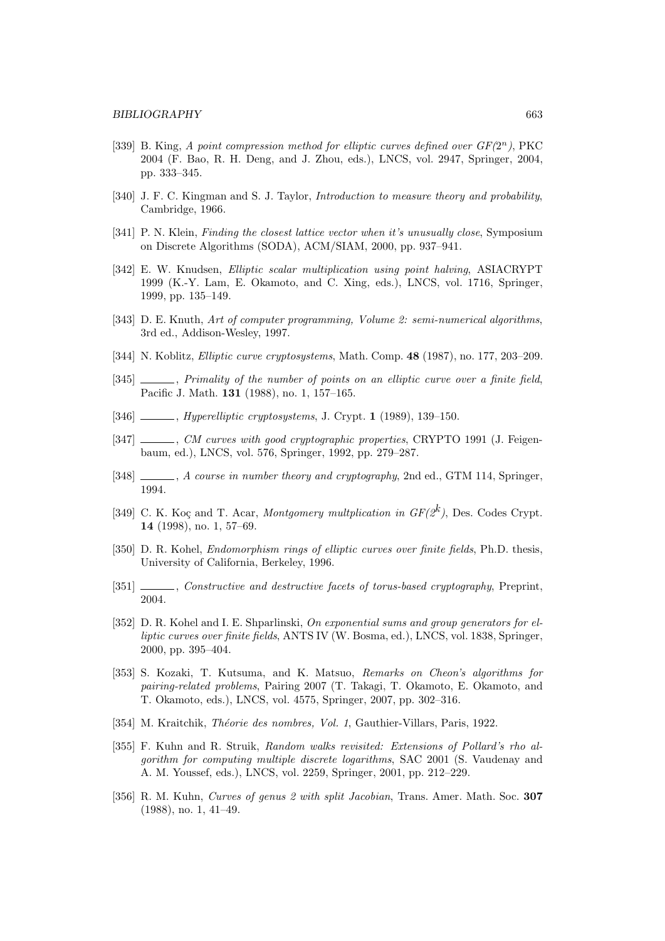- [339] B. King, A point compression method for elliptic curves defined over  $GF(2<sup>n</sup>)$ , PKC 2004 (F. Bao, R. H. Deng, and J. Zhou, eds.), LNCS, vol. 2947, Springer, 2004, pp. 333–345.
- [340] J. F. C. Kingman and S. J. Taylor, *Introduction to measure theory and probability*, Cambridge, 1966.
- [341] P. N. Klein, *Finding the closest lattice vector when it's unusually close*, Symposium on Discrete Algorithms (SODA), ACM/SIAM, 2000, pp. 937–941.
- [342] E. W. Knudsen, Elliptic scalar multiplication using point halving, ASIACRYPT 1999 (K.-Y. Lam, E. Okamoto, and C. Xing, eds.), LNCS, vol. 1716, Springer, 1999, pp. 135–149.
- [343] D. E. Knuth, Art of computer programming, Volume 2: semi-numerical algorithms. 3rd ed., Addison-Wesley, 1997.
- [344] N. Koblitz, *Elliptic curve cryptosystems*, Math. Comp. **48** (1987), no. 177, 203–209.
- [345] , Primality of the number of points on an elliptic curve over a finite field, Pacific J. Math. 131 (1988), no. 1, 157–165.
- [346] , Hyperelliptic cryptosystems, J. Crypt. 1 (1989), 139–150.
- [347]  $\ldots$ , CM curves with good cryptographic properties, CRYPTO 1991 (J. Feigenbaum, ed.), LNCS, vol. 576, Springer, 1992, pp. 279–287.
- $[348]$   $\_\_\_\_\$ , A course in number theory and cryptography, 2nd ed., GTM 114, Springer, 1994.
- [349] C. K. Koç and T. Acar, *Montgomery multplication in*  $GF(2^k)$ , Des. Codes Crypt. 14 (1998), no. 1, 57–69.
- [350] D. R. Kohel, *Endomorphism rings of elliptic curves over finite fields*, Ph.D. thesis, University of California, Berkeley, 1996.
- [351] , Constructive and destructive facets of torus-based cryptography, Preprint, 2004.
- [352] D. R. Kohel and I. E. Shparlinski, On exponential sums and group generators for elliptic curves over finite fields, ANTS IV (W. Bosma, ed.), LNCS, vol. 1838, Springer, 2000, pp. 395–404.
- [353] S. Kozaki, T. Kutsuma, and K. Matsuo, Remarks on Cheon's algorithms for pairing-related problems, Pairing 2007 (T. Takagi, T. Okamoto, E. Okamoto, and T. Okamoto, eds.), LNCS, vol. 4575, Springer, 2007, pp. 302–316.
- [354] M. Kraitchik, *Théorie des nombres, Vol. 1*, Gauthier-Villars, Paris, 1922.
- [355] F. Kuhn and R. Struik, Random walks revisited: Extensions of Pollard's rho algorithm for computing multiple discrete logarithms, SAC 2001 (S. Vaudenay and A. M. Youssef, eds.), LNCS, vol. 2259, Springer, 2001, pp. 212–229.
- [356] R. M. Kuhn, Curves of genus 2 with split Jacobian, Trans. Amer. Math. Soc. 307 (1988), no. 1, 41–49.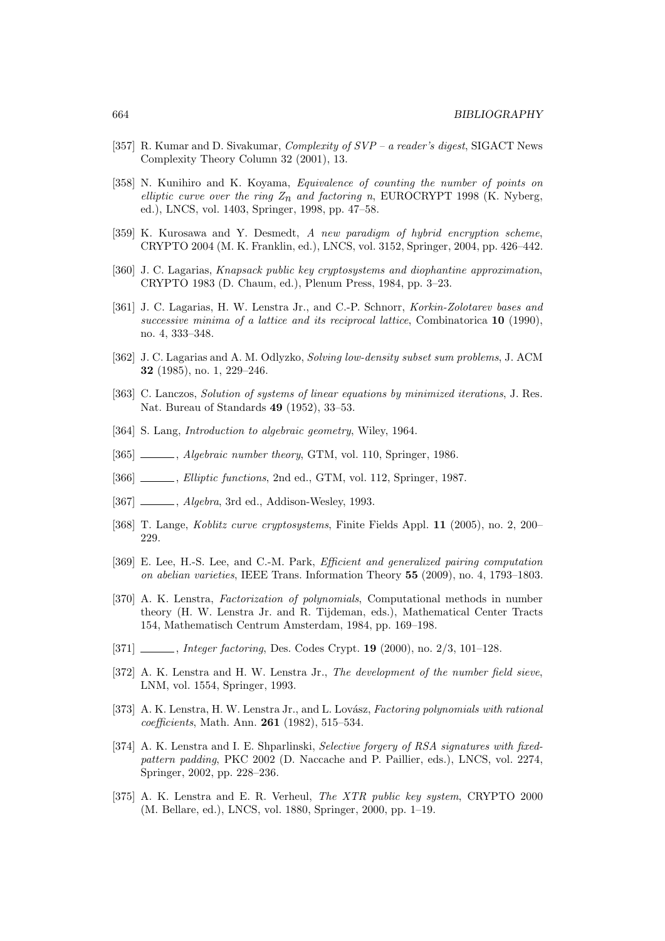- [357] R. Kumar and D. Sivakumar, Complexity of SVP a reader's digest, SIGACT News Complexity Theory Column 32 (2001), 13.
- [358] N. Kunihiro and K. Koyama, Equivalence of counting the number of points on elliptic curve over the ring  $Z_n$  and factoring n, EUROCRYPT 1998 (K. Nyberg, ed.), LNCS, vol. 1403, Springer, 1998, pp. 47–58.
- [359] K. Kurosawa and Y. Desmedt, A new paradigm of hybrid encryption scheme, CRYPTO 2004 (M. K. Franklin, ed.), LNCS, vol. 3152, Springer, 2004, pp. 426–442.
- [360] J. C. Lagarias, Knapsack public key cryptosystems and diophantine approximation, CRYPTO 1983 (D. Chaum, ed.), Plenum Press, 1984, pp. 3–23.
- [361] J. C. Lagarias, H. W. Lenstra Jr., and C.-P. Schnorr, Korkin-Zolotarev bases and successive minima of a lattice and its reciprocal lattice, Combinatorica 10 (1990), no. 4, 333–348.
- [362] J. C. Lagarias and A. M. Odlyzko, Solving low-density subset sum problems, J. ACM 32 (1985), no. 1, 229–246.
- [363] C. Lanczos, Solution of systems of linear equations by minimized iterations, J. Res. Nat. Bureau of Standards 49 (1952), 33–53.
- [364] S. Lang, *Introduction to algebraic geometry*, Wiley, 1964.
- [365] , Algebraic number theory, GTM, vol. 110, Springer, 1986.
- [366] , Elliptic functions, 2nd ed., GTM, vol. 112, Springer, 1987.
- [367] , *Algebra*, 3rd ed., Addison-Wesley, 1993.
- [368] T. Lange, Koblitz curve cryptosystems, Finite Fields Appl. 11 (2005), no. 2, 200– 229.
- [369] E. Lee, H.-S. Lee, and C.-M. Park, Efficient and generalized pairing computation on abelian varieties, IEEE Trans. Information Theory 55 (2009), no. 4, 1793–1803.
- [370] A. K. Lenstra, Factorization of polynomials, Computational methods in number theory (H. W. Lenstra Jr. and R. Tijdeman, eds.), Mathematical Center Tracts 154, Mathematisch Centrum Amsterdam, 1984, pp. 169–198.
- [371] , *Integer factoring*, Des. Codes Crypt. **19** (2000), no. 2/3, 101-128.
- [372] A. K. Lenstra and H. W. Lenstra Jr., The development of the number field sieve, LNM, vol. 1554, Springer, 1993.
- [373] A. K. Lenstra, H. W. Lenstra Jr., and L. Lovász, Factoring polynomials with rational coefficients, Math. Ann. 261 (1982), 515–534.
- [374] A. K. Lenstra and I. E. Shparlinski, Selective forgery of RSA signatures with fixedpattern padding, PKC 2002 (D. Naccache and P. Paillier, eds.), LNCS, vol. 2274, Springer, 2002, pp. 228–236.
- [375] A. K. Lenstra and E. R. Verheul, The XTR public key system, CRYPTO 2000 (M. Bellare, ed.), LNCS, vol. 1880, Springer, 2000, pp. 1–19.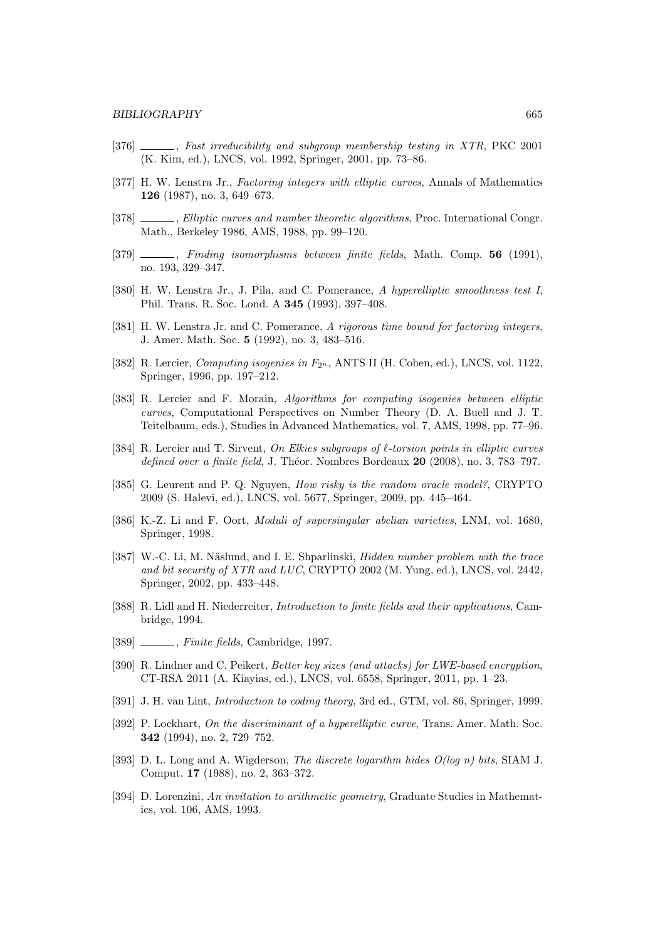- [376] , Fast irreducibility and subgroup membership testing in XTR, PKC 2001 (K. Kim, ed.), LNCS, vol. 1992, Springer, 2001, pp. 73–86.
- [377] H. W. Lenstra Jr., Factoring integers with elliptic curves, Annals of Mathematics 126 (1987), no. 3, 649–673.
- [378] , Elliptic curves and number theoretic algorithms, Proc. International Congr. Math., Berkeley 1986, AMS, 1988, pp. 99–120.
- [379]  $\ldots$ , Finding isomorphisms between finite fields, Math. Comp. 56 (1991), no. 193, 329–347.
- [380] H. W. Lenstra Jr., J. Pila, and C. Pomerance, A hyperelliptic smoothness test I, Phil. Trans. R. Soc. Lond. A 345 (1993), 397–408.
- [381] H. W. Lenstra Jr. and C. Pomerance, A rigorous time bound for factoring integers, J. Amer. Math. Soc. 5 (1992), no. 3, 483–516.
- [382] R. Lercier, Computing isogenies in  $F_{2^n}$ , ANTS II (H. Cohen, ed.), LNCS, vol. 1122. Springer, 1996, pp. 197–212.
- [383] R. Lercier and F. Morain, Algorithms for computing isogenies between elliptic curves, Computational Perspectives on Number Theory (D. A. Buell and J. T. Teitelbaum, eds.), Studies in Advanced Mathematics, vol. 7, AMS, 1998, pp. 77–96.
- [384] R. Lercier and T. Sirvent, On Elkies subgroups of  $\ell$ -torsion points in elliptic curves defined over a finite field, J. Théor. Nombres Bordeaux  $20$  (2008), no. 3, 783–797.
- [385] G. Leurent and P. Q. Nguyen, *How risky is the random oracle model?*, CRYPTO 2009 (S. Halevi, ed.), LNCS, vol. 5677, Springer, 2009, pp. 445–464.
- [386] K.-Z. Li and F. Oort, Moduli of supersingular abelian varieties, LNM, vol. 1680, Springer, 1998.
- [387] W.-C. Li, M. Näslund, and I. E. Shparlinski, *Hidden number problem with the trace* and bit security of XTR and LUC, CRYPTO 2002 (M. Yung, ed.), LNCS, vol. 2442, Springer, 2002, pp. 433–448.
- [388] R. Lidl and H. Niederreiter, *Introduction to finite fields and their applications*, Cambridge, 1994.
- [389] , Finite fields, Cambridge, 1997.
- [390] R. Lindner and C. Peikert, Better key sizes (and attacks) for LWE-based encryption, CT-RSA 2011 (A. Kiayias, ed.), LNCS, vol. 6558, Springer, 2011, pp. 1–23.
- [391] J. H. van Lint, Introduction to coding theory, 3rd ed., GTM, vol. 86, Springer, 1999.
- [392] P. Lockhart, On the discriminant of a hyperelliptic curve, Trans. Amer. Math. Soc. 342 (1994), no. 2, 729–752.
- [393] D. L. Long and A. Wigderson, The discrete logarithm hides  $O(log n)$  bits, SIAM J. Comput. 17 (1988), no. 2, 363–372.
- [394] D. Lorenzini, An invitation to arithmetic geometry, Graduate Studies in Mathematics, vol. 106, AMS, 1993.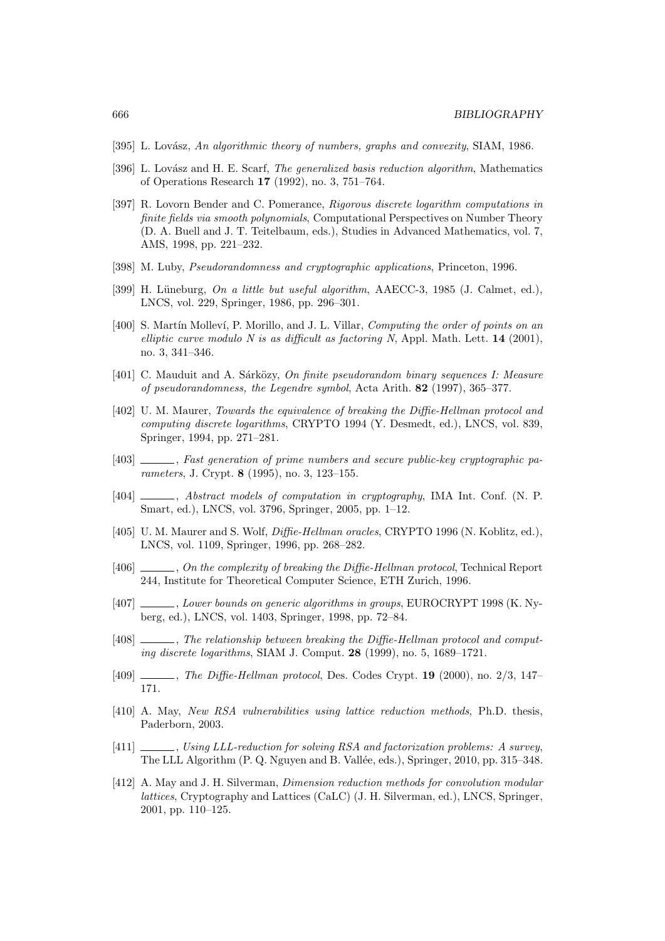- [395] L. Lovász, An algorithmic theory of numbers, graphs and convexity, SIAM, 1986.
- [396] L. Lovász and H. E. Scarf, *The generalized basis reduction algorithm*, Mathematics of Operations Research 17 (1992), no. 3, 751–764.
- [397] R. Lovorn Bender and C. Pomerance, Rigorous discrete logarithm computations in finite fields via smooth polynomials, Computational Perspectives on Number Theory (D. A. Buell and J. T. Teitelbaum, eds.), Studies in Advanced Mathematics, vol. 7, AMS, 1998, pp. 221–232.
- [398] M. Luby, Pseudorandomness and cryptographic applications, Princeton, 1996.
- [399] H. Lüneburg, On a little but useful algorithm, AAECC-3, 1985 (J. Calmet, ed.), LNCS, vol. 229, Springer, 1986, pp. 296–301.
- [400] S. Martín Molleví, P. Morillo, and J. L. Villar, Computing the order of points on an elliptic curve modulo N is as difficult as factoring N, Appl. Math. Lett.  $14$  (2001), no. 3, 341–346.
- [401] C. Mauduit and A. Sárközy, On finite pseudorandom binary sequences I: Measure of pseudorandomness, the Legendre symbol, Acta Arith. 82 (1997), 365–377.
- [402] U. M. Maurer, *Towards the equivalence of breaking the Diffie-Hellman protocol and* computing discrete logarithms, CRYPTO 1994 (Y. Desmedt, ed.), LNCS, vol. 839, Springer, 1994, pp. 271–281.
- [403]  $\ldots$ , Fast generation of prime numbers and secure public-key cryptographic parameters, J. Crypt. 8 (1995), no. 3, 123–155.
- [404]  $\_\_\_\_\$ g, Abstract models of computation in cryptography, IMA Int. Conf. (N. P. Smart, ed.), LNCS, vol. 3796, Springer, 2005, pp. 1–12.
- [405] U. M. Maurer and S. Wolf, *Diffie-Hellman oracles*, CRYPTO 1996 (N. Koblitz, ed.), LNCS, vol. 1109, Springer, 1996, pp. 268–282.
- [406] , On the complexity of breaking the Diffie-Hellman protocol, Technical Report 244, Institute for Theoretical Computer Science, ETH Zurich, 1996.
- [407] , Lower bounds on generic algorithms in groups, EUROCRYPT 1998 (K. Nyberg, ed.), LNCS, vol. 1403, Springer, 1998, pp. 72–84.
- [408]  $\ldots$ , The relationship between breaking the Diffie-Hellman protocol and computing discrete logarithms, SIAM J. Comput. 28 (1999), no. 5, 1689–1721.
- $[409]$  , The Diffie-Hellman protocol, Des. Codes Crypt. 19 (2000), no. 2/3, 147– 171.
- [410] A. May, New RSA vulnerabilities using lattice reduction methods, Ph.D. thesis, Paderborn, 2003.
- $[411]$  , Using LLL-reduction for solving RSA and factorization problems: A survey, The LLL Algorithm (P. Q. Nguyen and B. Vallée, eds.), Springer, 2010, pp. 315–348.
- [412] A. May and J. H. Silverman, Dimension reduction methods for convolution modular lattices, Cryptography and Lattices (CaLC) (J. H. Silverman, ed.), LNCS, Springer, 2001, pp. 110–125.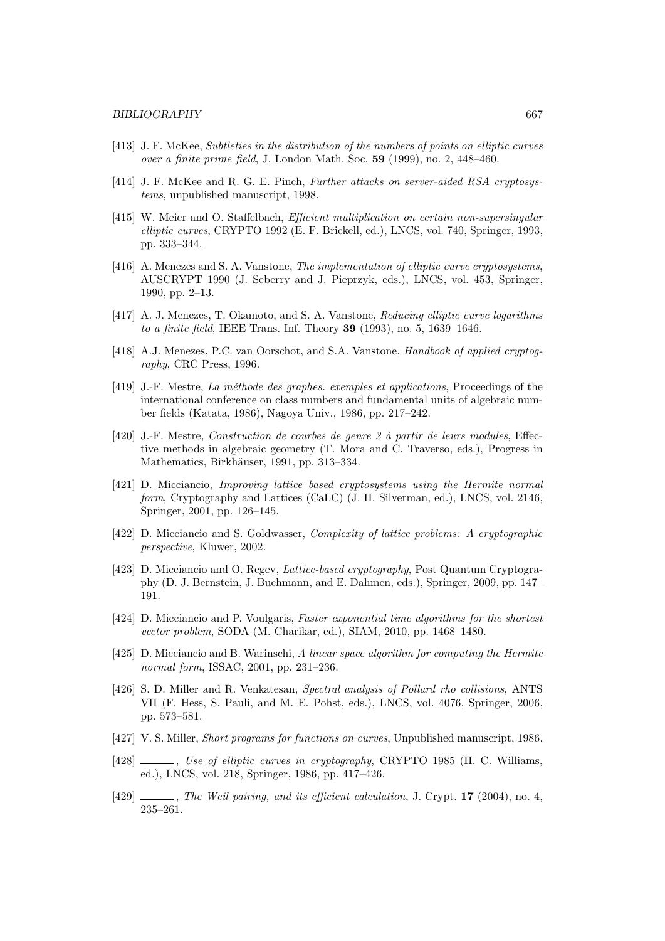- [413] J. F. McKee, Subtleties in the distribution of the numbers of points on elliptic curves over a finite prime field, J. London Math. Soc. 59 (1999), no. 2, 448–460.
- [414] J. F. McKee and R. G. E. Pinch, Further attacks on server-aided RSA cryptosystems, unpublished manuscript, 1998.
- [415] W. Meier and O. Staffelbach, Efficient multiplication on certain non-supersingular elliptic curves, CRYPTO 1992 (E. F. Brickell, ed.), LNCS, vol. 740, Springer, 1993, pp. 333–344.
- [416] A. Menezes and S. A. Vanstone, *The implementation of elliptic curve cryptosystems*, AUSCRYPT 1990 (J. Seberry and J. Pieprzyk, eds.), LNCS, vol. 453, Springer, 1990, pp. 2–13.
- [417] A. J. Menezes, T. Okamoto, and S. A. Vanstone, Reducing elliptic curve logarithms to a finite field, IEEE Trans. Inf. Theory 39 (1993), no. 5, 1639–1646.
- [418] A.J. Menezes, P.C. van Oorschot, and S.A. Vanstone, *Handbook of applied cryptog*raphy, CRC Press, 1996.
- [419] J.-F. Mestre, La méthode des graphes. exemples et applications, Proceedings of the international conference on class numbers and fundamental units of algebraic number fields (Katata, 1986), Nagoya Univ., 1986, pp. 217–242.
- [420] J.-F. Mestre, Construction de courbes de genre 2 à partir de leurs modules, Effective methods in algebraic geometry (T. Mora and C. Traverso, eds.), Progress in Mathematics, Birkhäuser, 1991, pp. 313–334.
- [421] D. Micciancio, Improving lattice based cryptosystems using the Hermite normal form, Cryptography and Lattices (CaLC) (J. H. Silverman, ed.), LNCS, vol. 2146, Springer, 2001, pp. 126–145.
- [422] D. Micciancio and S. Goldwasser, Complexity of lattice problems: A cryptographic perspective, Kluwer, 2002.
- [423] D. Micciancio and O. Regev, Lattice-based cryptography, Post Quantum Cryptography (D. J. Bernstein, J. Buchmann, and E. Dahmen, eds.), Springer, 2009, pp. 147– 191.
- [424] D. Micciancio and P. Voulgaris, Faster exponential time algorithms for the shortest vector problem, SODA (M. Charikar, ed.), SIAM, 2010, pp. 1468–1480.
- [425] D. Micciancio and B. Warinschi, A linear space algorithm for computing the Hermite normal form, ISSAC, 2001, pp. 231–236.
- [426] S. D. Miller and R. Venkatesan, Spectral analysis of Pollard rho collisions, ANTS VII (F. Hess, S. Pauli, and M. E. Pohst, eds.), LNCS, vol. 4076, Springer, 2006, pp. 573–581.
- [427] V. S. Miller, Short programs for functions on curves, Unpublished manuscript, 1986.
- [428]  $\_\_\_\_\_\_\_\_\_\_\_\_\_\_\_\_\_\_\_\_\_\.\_\_\_\_\_\_\.\_$ ed.), LNCS, vol. 218, Springer, 1986, pp. 417–426.
- [429]  $\_\_\_\_\_\$ , The Weil pairing, and its efficient calculation, J. Crypt. 17 (2004), no. 4, 235–261.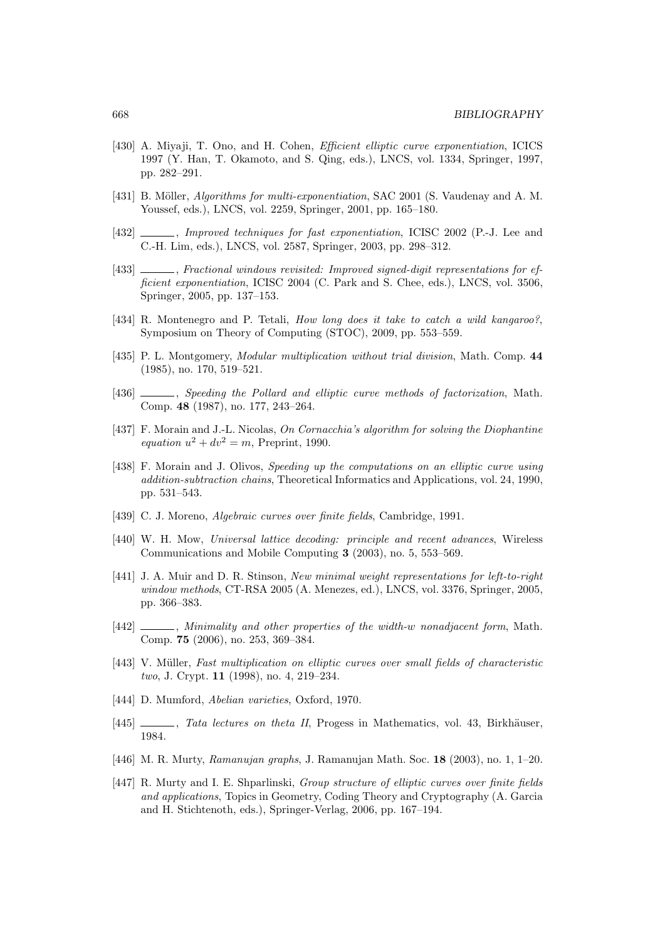- [430] A. Miyaji, T. Ono, and H. Cohen, Efficient elliptic curve exponentiation, ICICS 1997 (Y. Han, T. Okamoto, and S. Qing, eds.), LNCS, vol. 1334, Springer, 1997, pp. 282–291.
- [431] B. Möller, *Algorithms for multi-exponentiation*, SAC 2001 (S. Vaudenay and A. M. Youssef, eds.), LNCS, vol. 2259, Springer, 2001, pp. 165–180.
- [432]  $\_\_\_\_\_\_\_\$  Improved techniques for fast exponentiation, ICISC 2002 (P.-J. Lee and C.-H. Lim, eds.), LNCS, vol. 2587, Springer, 2003, pp. 298–312.
- [433]  $\_\_\_\_\$ gian Fractional windows revisited: Improved signed-digit representations for efficient exponentiation, ICISC 2004 (C. Park and S. Chee, eds.), LNCS, vol. 3506, Springer, 2005, pp. 137–153.
- [434] R. Montenegro and P. Tetali, *How long does it take to catch a wild kangaroo?*, Symposium on Theory of Computing (STOC), 2009, pp. 553–559.
- [435] P. L. Montgomery, Modular multiplication without trial division, Math. Comp. 44 (1985), no. 170, 519–521.
- [436]  $\qquad \qquad$ , Speeding the Pollard and elliptic curve methods of factorization, Math. Comp. 48 (1987), no. 177, 243–264.
- [437] F. Morain and J.-L. Nicolas, On Cornacchia's algorithm for solving the Diophantine equation  $u^2 + dv^2 = m$ , Preprint, 1990.
- [438] F. Morain and J. Olivos, Speeding up the computations on an elliptic curve using addition-subtraction chains, Theoretical Informatics and Applications, vol. 24, 1990, pp. 531–543.
- [439] C. J. Moreno, Algebraic curves over finite fields, Cambridge, 1991.
- [440] W. H. Mow, Universal lattice decoding: principle and recent advances, Wireless Communications and Mobile Computing 3 (2003), no. 5, 553–569.
- [441] J. A. Muir and D. R. Stinson, New minimal weight representations for left-to-right window methods, CT-RSA 2005 (A. Menezes, ed.), LNCS, vol. 3376, Springer, 2005, pp. 366–383.
- [442]  $\Box$ , Minimality and other properties of the width-w nonadjacent form, Math. Comp. 75 (2006), no. 253, 369–384.
- [443] V. Müller, Fast multiplication on elliptic curves over small fields of characteristic two, J. Crypt. 11 (1998), no. 4, 219–234.
- [444] D. Mumford, Abelian varieties, Oxford, 1970.
- [445] , Tata lectures on theta II, Progess in Mathematics, vol. 43, Birkhäuser, 1984.
- [446] M. R. Murty, Ramanujan graphs, J. Ramanujan Math. Soc. 18 (2003), no. 1, 1–20.
- [447] R. Murty and I. E. Shparlinski, Group structure of elliptic curves over finite fields and applications, Topics in Geometry, Coding Theory and Cryptography (A. Garcia and H. Stichtenoth, eds.), Springer-Verlag, 2006, pp. 167–194.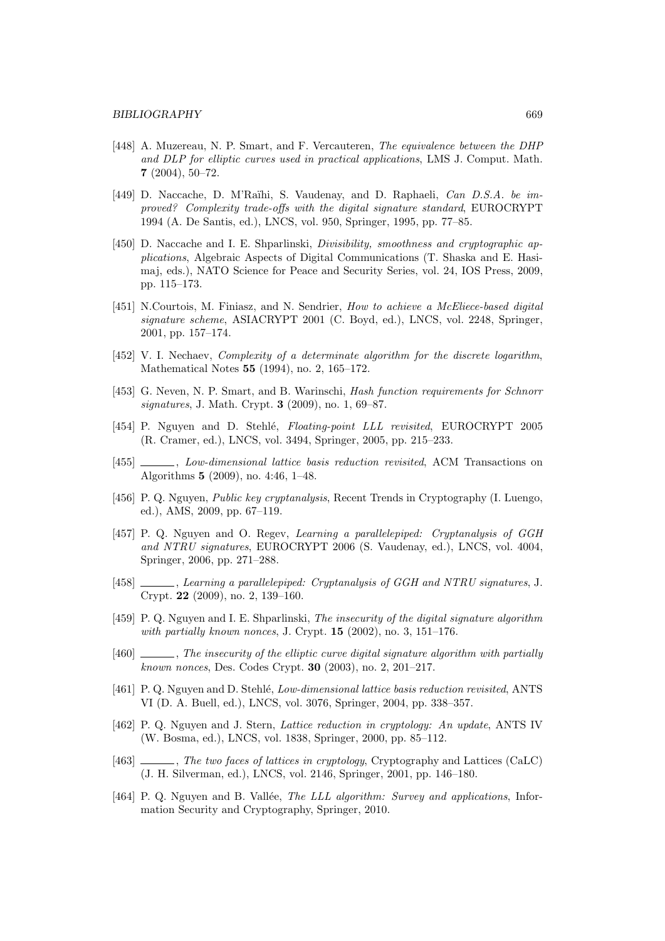- [448] A. Muzereau, N. P. Smart, and F. Vercauteren, The equivalence between the DHP and DLP for elliptic curves used in practical applications, LMS J. Comput. Math. 7 (2004), 50–72.
- [449] D. Naccache, D. M'Raïhi, S. Vaudenay, and D. Raphaeli, Can D.S.A. be improved? Complexity trade-offs with the digital signature standard, EUROCRYPT 1994 (A. De Santis, ed.), LNCS, vol. 950, Springer, 1995, pp. 77–85.
- [450] D. Naccache and I. E. Shparlinski, Divisibility, smoothness and cryptographic applications, Algebraic Aspects of Digital Communications (T. Shaska and E. Hasimaj, eds.), NATO Science for Peace and Security Series, vol. 24, IOS Press, 2009, pp. 115–173.
- [451] N.Courtois, M. Finiasz, and N. Sendrier, *How to achieve a McEliece-based digital* signature scheme, ASIACRYPT 2001 (C. Boyd, ed.), LNCS, vol. 2248, Springer, 2001, pp. 157–174.
- [452] V. I. Nechaev, Complexity of a determinate algorithm for the discrete logarithm, Mathematical Notes 55 (1994), no. 2, 165–172.
- [453] G. Neven, N. P. Smart, and B. Warinschi, Hash function requirements for Schnorr signatures, J. Math. Crypt. 3 (2009), no. 1, 69–87.
- [454] P. Nguyen and D. Stehlé, Floating-point LLL revisited, EUROCRYPT 2005 (R. Cramer, ed.), LNCS, vol. 3494, Springer, 2005, pp. 215–233.
- [455]  $\_\_\_\_\_\_\_\_\_\_\_\_\_\_\_\_\_\_\_\_\.\_$  Low-dimensional lattice basis reduction revisited, ACM Transactions on Algorithms 5 (2009), no. 4:46, 1–48.
- [456] P. Q. Nguyen, Public key cryptanalysis, Recent Trends in Cryptography (I. Luengo, ed.), AMS, 2009, pp. 67–119.
- [457] P. Q. Nguyen and O. Regev, Learning a parallelepiped: Cryptanalysis of GGH and NTRU signatures, EUROCRYPT 2006 (S. Vaudenay, ed.), LNCS, vol. 4004, Springer, 2006, pp. 271–288.
- [458] , Learning a parallelepiped: Cryptanalysis of GGH and NTRU signatures, J. Crypt. 22 (2009), no. 2, 139–160.
- [459] P. Q. Nguyen and I. E. Shparlinski, *The insecurity of the digital signature algorithm* with partially known nonces, J. Crypt.  $15$  (2002), no. 3, 151–176.
- [460]  $\ldots$ , The insecurity of the elliptic curve digital signature algorithm with partially known nonces, Des. Codes Crypt. 30 (2003), no. 2, 201–217.
- [461] P. Q. Nguyen and D. Stehlé, Low-dimensional lattice basis reduction revisited, ANTS VI (D. A. Buell, ed.), LNCS, vol. 3076, Springer, 2004, pp. 338–357.
- [462] P. Q. Nguyen and J. Stern, Lattice reduction in cryptology: An update, ANTS IV (W. Bosma, ed.), LNCS, vol. 1838, Springer, 2000, pp. 85–112.
- [463]  $\_\_\_\_\_\$ , The two faces of lattices in cryptology, Cryptography and Lattices (CaLC) (J. H. Silverman, ed.), LNCS, vol. 2146, Springer, 2001, pp. 146–180.
- [464] P. Q. Nguyen and B. Vallée, The LLL algorithm: Survey and applications, Information Security and Cryptography, Springer, 2010.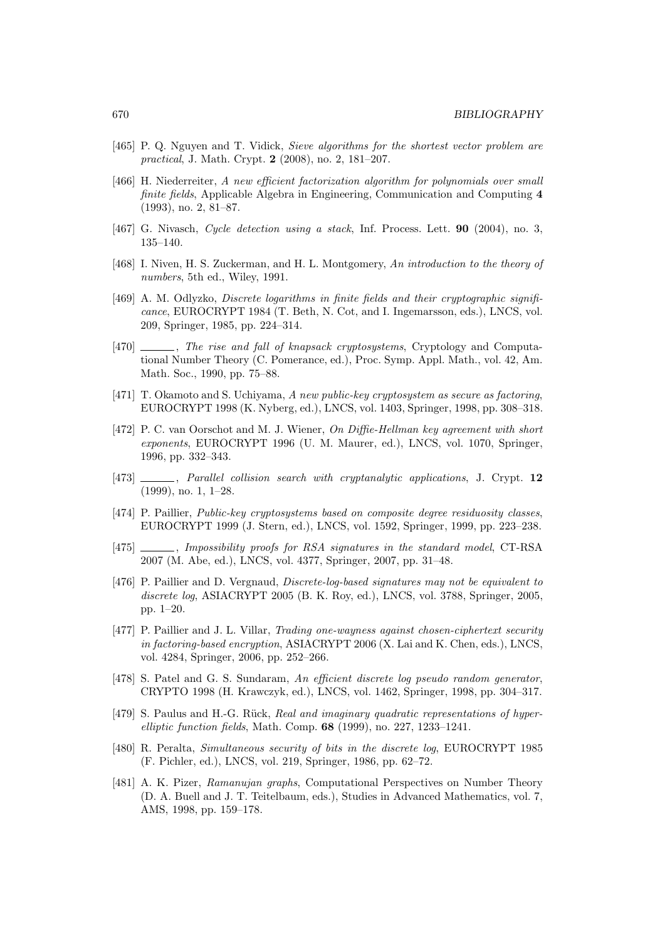- [465] P. Q. Nguyen and T. Vidick, Sieve algorithms for the shortest vector problem are practical, J. Math. Crypt. 2 (2008), no. 2, 181–207.
- [466] H. Niederreiter, A new efficient factorization algorithm for polynomials over small finite fields, Applicable Algebra in Engineering, Communication and Computing 4 (1993), no. 2, 81–87.
- [467] G. Nivasch, *Cycle detection using a stack*, Inf. Process. Lett. **90** (2004), no. 3, 135–140.
- [468] I. Niven, H. S. Zuckerman, and H. L. Montgomery, An introduction to the theory of numbers, 5th ed., Wiley, 1991.
- [469] A. M. Odlyzko, Discrete logarithms in finite fields and their cryptographic significance, EUROCRYPT 1984 (T. Beth, N. Cot, and I. Ingemarsson, eds.), LNCS, vol. 209, Springer, 1985, pp. 224–314.
- [470]  $\ldots$ , The rise and fall of knapsack cryptosystems, Cryptology and Computational Number Theory (C. Pomerance, ed.), Proc. Symp. Appl. Math., vol. 42, Am. Math. Soc., 1990, pp. 75–88.
- [471] T. Okamoto and S. Uchiyama, A new public-key cryptosystem as secure as factoring, EUROCRYPT 1998 (K. Nyberg, ed.), LNCS, vol. 1403, Springer, 1998, pp. 308–318.
- [472] P. C. van Oorschot and M. J. Wiener, On Diffie-Hellman key agreement with short exponents, EUROCRYPT 1996 (U. M. Maurer, ed.), LNCS, vol. 1070, Springer, 1996, pp. 332–343.
- [473]  $\_\_\_\_\_\$  Parallel collision search with cryptanalytic applications, J. Crypt. 12 (1999), no. 1, 1–28.
- [474] P. Paillier, Public-key cryptosystems based on composite degree residuosity classes, EUROCRYPT 1999 (J. Stern, ed.), LNCS, vol. 1592, Springer, 1999, pp. 223–238.
- [475]  $\qquad \qquad$ , Impossibility proofs for RSA signatures in the standard model, CT-RSA 2007 (M. Abe, ed.), LNCS, vol. 4377, Springer, 2007, pp. 31–48.
- [476] P. Paillier and D. Vergnaud, *Discrete-log-based signatures may not be equivalent to* discrete log, ASIACRYPT 2005 (B. K. Roy, ed.), LNCS, vol. 3788, Springer, 2005, pp. 1–20.
- [477] P. Paillier and J. L. Villar, Trading one-wayness against chosen-ciphertext security in factoring-based encryption, ASIACRYPT 2006 (X. Lai and K. Chen, eds.), LNCS, vol. 4284, Springer, 2006, pp. 252–266.
- [478] S. Patel and G. S. Sundaram, An efficient discrete log pseudo random generator, CRYPTO 1998 (H. Krawczyk, ed.), LNCS, vol. 1462, Springer, 1998, pp. 304–317.
- [479] S. Paulus and H.-G. Rück, Real and imaginary quadratic representations of hyperelliptic function fields, Math. Comp. 68 (1999), no. 227, 1233–1241.
- [480] R. Peralta, Simultaneous security of bits in the discrete log, EUROCRYPT 1985 (F. Pichler, ed.), LNCS, vol. 219, Springer, 1986, pp. 62–72.
- [481] A. K. Pizer, Ramanujan graphs, Computational Perspectives on Number Theory (D. A. Buell and J. T. Teitelbaum, eds.), Studies in Advanced Mathematics, vol. 7, AMS, 1998, pp. 159–178.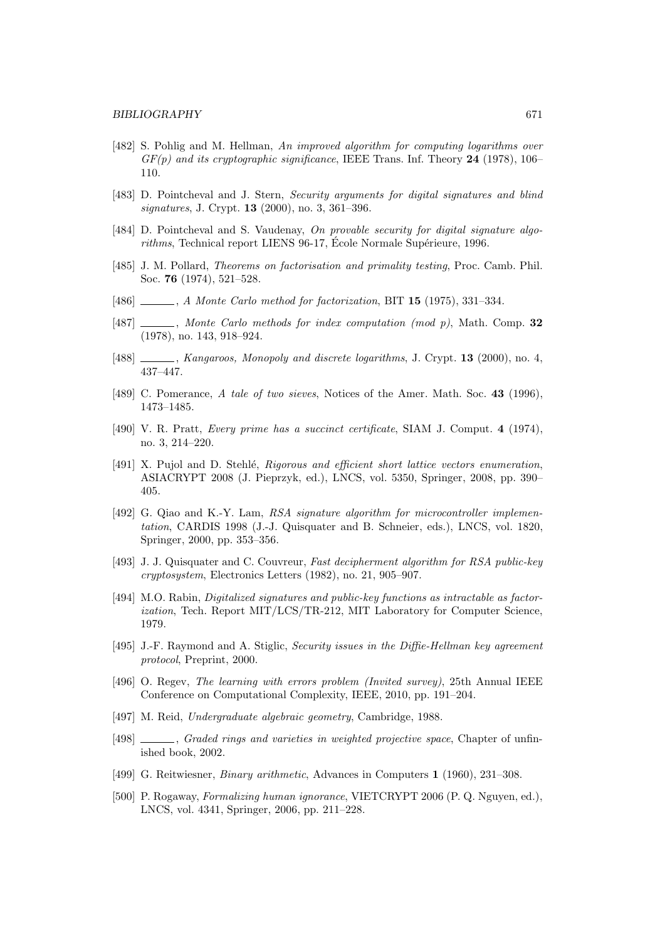- [482] S. Pohlig and M. Hellman, An improved algorithm for computing logarithms over  $GF(p)$  and its cryptographic significance, IEEE Trans. Inf. Theory 24 (1978), 106– 110.
- [483] D. Pointcheval and J. Stern, *Security arguments for digital signatures and blind* signatures, J. Crypt. 13 (2000), no. 3, 361–396.
- [484] D. Pointcheval and S. Vaudenay, On provable security for digital signature algorithms, Technical report LIENS  $96-17$ , Ecole Normale Supérieure, 1996.
- [485] J. M. Pollard, Theorems on factorisation and primality testing, Proc. Camb. Phil. Soc. 76 (1974), 521–528.
- [486] , A Monte Carlo method for factorization, BIT 15 (1975), 331–334.
- [487]  $\ldots$ , Monte Carlo methods for index computation (mod p), Math. Comp. 32 (1978), no. 143, 918–924.
- [488] , Kangaroos, Monopoly and discrete logarithms, J. Crypt. 13 (2000), no. 4, 437–447.
- [489] C. Pomerance, A tale of two sieves, Notices of the Amer. Math. Soc. 43 (1996), 1473–1485.
- [490] V. R. Pratt, Every prime has a succinct certificate, SIAM J. Comput. 4 (1974), no. 3, 214–220.
- [491] X. Pujol and D. Stehlé, Rigorous and efficient short lattice vectors enumeration, ASIACRYPT 2008 (J. Pieprzyk, ed.), LNCS, vol. 5350, Springer, 2008, pp. 390– 405.
- [492] G. Qiao and K.-Y. Lam, *RSA signature algorithm for microcontroller implemen*tation, CARDIS 1998 (J.-J. Quisquater and B. Schneier, eds.), LNCS, vol. 1820, Springer, 2000, pp. 353–356.
- [493] J. J. Quisquater and C. Couvreur, Fast decipherment algorithm for RSA public-key cryptosystem, Electronics Letters (1982), no. 21, 905–907.
- [494] M.O. Rabin, Digitalized signatures and public-key functions as intractable as factorization, Tech. Report MIT/LCS/TR-212, MIT Laboratory for Computer Science, 1979.
- [495] J.-F. Raymond and A. Stiglic, Security issues in the Diffie-Hellman key agreement protocol, Preprint, 2000.
- [496] O. Regev, The learning with errors problem (Invited survey), 25th Annual IEEE Conference on Computational Complexity, IEEE, 2010, pp. 191–204.
- [497] M. Reid, Undergraduate algebraic geometry, Cambridge, 1988.
- [498] , Graded rings and varieties in weighted projective space, Chapter of unfinished book, 2002.
- [499] G. Reitwiesner, Binary arithmetic, Advances in Computers 1 (1960), 231–308.
- [500] P. Rogaway, Formalizing human ignorance, VIETCRYPT 2006 (P. Q. Nguyen, ed.), LNCS, vol. 4341, Springer, 2006, pp. 211–228.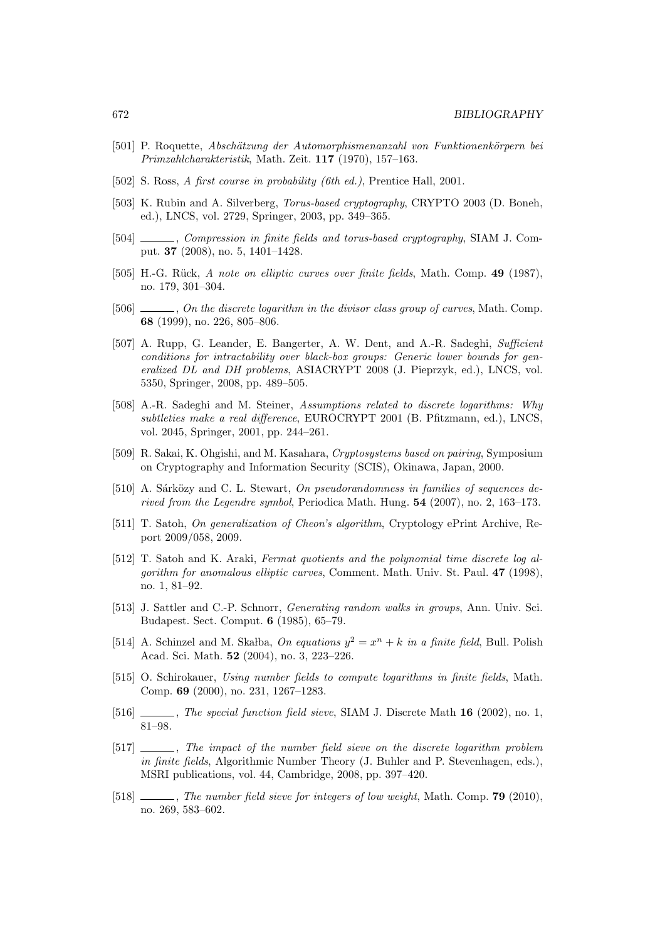- [501] P. Roquette, Abschätzung der Automorphismenanzahl von Funktionenkörpern bei Primzahlcharakteristik, Math. Zeit. 117 (1970), 157–163.
- [502] S. Ross, A first course in probability (6th ed.), Prentice Hall, 2001.
- [503] K. Rubin and A. Silverberg, *Torus-based cruptography*, CRYPTO 2003 (D. Boneh, ed.), LNCS, vol. 2729, Springer, 2003, pp. 349–365.
- [504] , Compression in finite fields and torus-based cryptography, SIAM J. Comput. 37 (2008), no. 5, 1401–1428.
- [505] H.-G. Rück, A note on elliptic curves over finite fields, Math. Comp. 49 (1987), no. 179, 301–304.
- [506]  $\ldots$ , On the discrete logarithm in the divisor class group of curves, Math. Comp. 68 (1999), no. 226, 805–806.
- [507] A. Rupp, G. Leander, E. Bangerter, A. W. Dent, and A.-R. Sadeghi, Sufficient conditions for intractability over black-box groups: Generic lower bounds for generalized DL and DH problems, ASIACRYPT 2008 (J. Pieprzyk, ed.), LNCS, vol. 5350, Springer, 2008, pp. 489–505.
- [508] A.-R. Sadeghi and M. Steiner, Assumptions related to discrete logarithms: Why subtleties make a real difference, EUROCRYPT 2001 (B. Pfitzmann, ed.), LNCS, vol. 2045, Springer, 2001, pp. 244–261.
- [509] R. Sakai, K. Ohgishi, and M. Kasahara, Cryptosystems based on pairing, Symposium on Cryptography and Information Security (SCIS), Okinawa, Japan, 2000.
- [510] A. Sárközy and C. L. Stewart, On pseudorandomness in families of sequences derived from the Legendre symbol, Periodica Math. Hung. 54 (2007), no. 2, 163–173.
- [511] T. Satoh, *On generalization of Cheon's algorithm*, Cryptology ePrint Archive, Report 2009/058, 2009.
- [512] T. Satoh and K. Araki, Fermat quotients and the polynomial time discrete log algorithm for anomalous elliptic curves, Comment. Math. Univ. St. Paul. 47 (1998), no. 1, 81–92.
- [513] J. Sattler and C.-P. Schnorr, Generating random walks in groups, Ann. Univ. Sci. Budapest. Sect. Comput. 6 (1985), 65–79.
- [514] A. Schinzel and M. Skalba, On equations  $y^2 = x^n + k$  in a finite field, Bull. Polish Acad. Sci. Math. 52 (2004), no. 3, 223–226.
- [515] O. Schirokauer, Using number fields to compute logarithms in finite fields, Math. Comp. 69 (2000), no. 231, 1267–1283.
- [516] , The special function field sieve, SIAM J. Discrete Math 16 (2002), no. 1, 81–98.
- [517]  $\ldots$ , The impact of the number field sieve on the discrete logarithm problem in finite fields, Algorithmic Number Theory (J. Buhler and P. Stevenhagen, eds.), MSRI publications, vol. 44, Cambridge, 2008, pp. 397–420.
- [518] , The number field sieve for integers of low weight, Math. Comp. **79** (2010), no. 269, 583–602.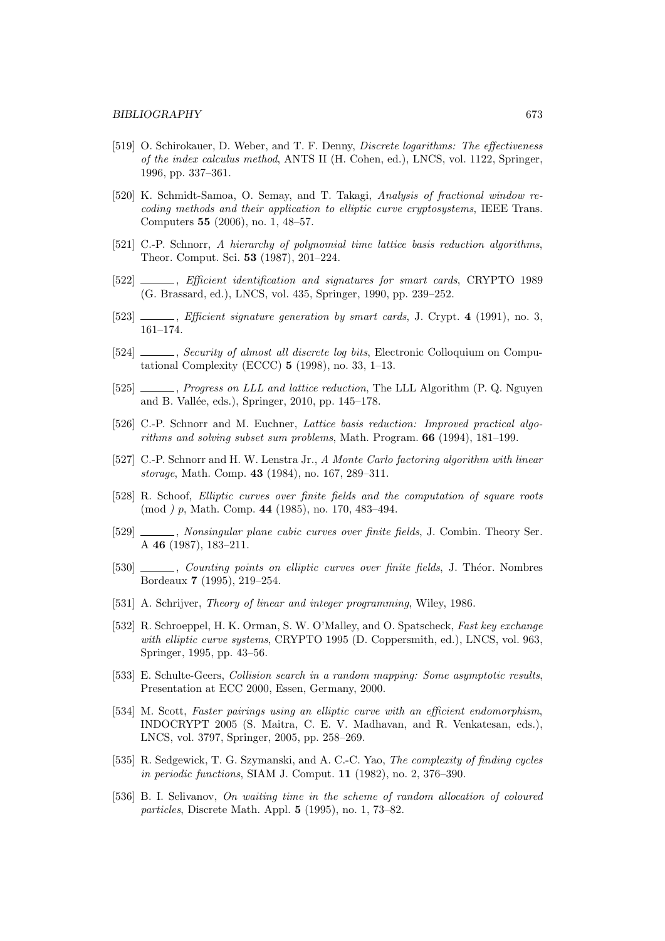- [519] O. Schirokauer, D. Weber, and T. F. Denny, Discrete logarithms: The effectiveness of the index calculus method, ANTS II (H. Cohen, ed.), LNCS, vol. 1122, Springer, 1996, pp. 337–361.
- [520] K. Schmidt-Samoa, O. Semay, and T. Takagi, Analysis of fractional window recoding methods and their application to elliptic curve cryptosystems, IEEE Trans. Computers 55 (2006), no. 1, 48–57.
- [521] C.-P. Schnorr, A hierarchy of polynomial time lattice basis reduction algorithms, Theor. Comput. Sci. 53 (1987), 201–224.
- [522]  $\_\_\_\_\$ , Efficient identification and signatures for smart cards, CRYPTO 1989 (G. Brassard, ed.), LNCS, vol. 435, Springer, 1990, pp. 239–252.
- [523]  $\qquad \qquad$ , *Efficient signature generation by smart cards*, J. Crypt. 4 (1991), no. 3, 161–174.
- [524]  $\qquad \qquad$ , Security of almost all discrete log bits, Electronic Colloquium on Computational Complexity (ECCC) 5 (1998), no. 33, 1–13.
- [525]  $\ldots$ , Progress on LLL and lattice reduction. The LLL Algorithm (P. Q. Nguyen and B. Vallée, eds.), Springer, 2010, pp. 145–178.
- [526] C.-P. Schnorr and M. Euchner, Lattice basis reduction: Improved practical algorithms and solving subset sum problems, Math. Program. 66 (1994), 181–199.
- [527] C.-P. Schnorr and H. W. Lenstra Jr., A Monte Carlo factoring algorithm with linear storage, Math. Comp. 43 (1984), no. 167, 289–311.
- [528] R. Schoof, Elliptic curves over finite fields and the computation of square roots (mod ) p, Math. Comp. 44 (1985), no. 170, 483–494.
- [529] , Nonsingular plane cubic curves over finite fields, J. Combin. Theory Ser. A 46 (1987), 183–211.
- [530] , Counting points on elliptic curves over finite fields, J. Théor. Nombres Bordeaux 7 (1995), 219–254.
- [531] A. Schrijver, *Theory of linear and integer programming*, Wiley, 1986.
- [532] R. Schroeppel, H. K. Orman, S. W. O'Malley, and O. Spatscheck, Fast key exchange with elliptic curve systems, CRYPTO 1995 (D. Coppersmith, ed.), LNCS, vol. 963, Springer, 1995, pp. 43–56.
- [533] E. Schulte-Geers, Collision search in a random mapping: Some asymptotic results, Presentation at ECC 2000, Essen, Germany, 2000.
- [534] M. Scott, Faster pairings using an elliptic curve with an efficient endomorphism, INDOCRYPT 2005 (S. Maitra, C. E. V. Madhavan, and R. Venkatesan, eds.), LNCS, vol. 3797, Springer, 2005, pp. 258–269.
- [535] R. Sedgewick, T. G. Szymanski, and A. C.-C. Yao, The complexity of finding cycles in periodic functions, SIAM J. Comput. 11 (1982), no. 2, 376–390.
- [536] B. I. Selivanov, On waiting time in the scheme of random allocation of coloured particles, Discrete Math. Appl. 5 (1995), no. 1, 73–82.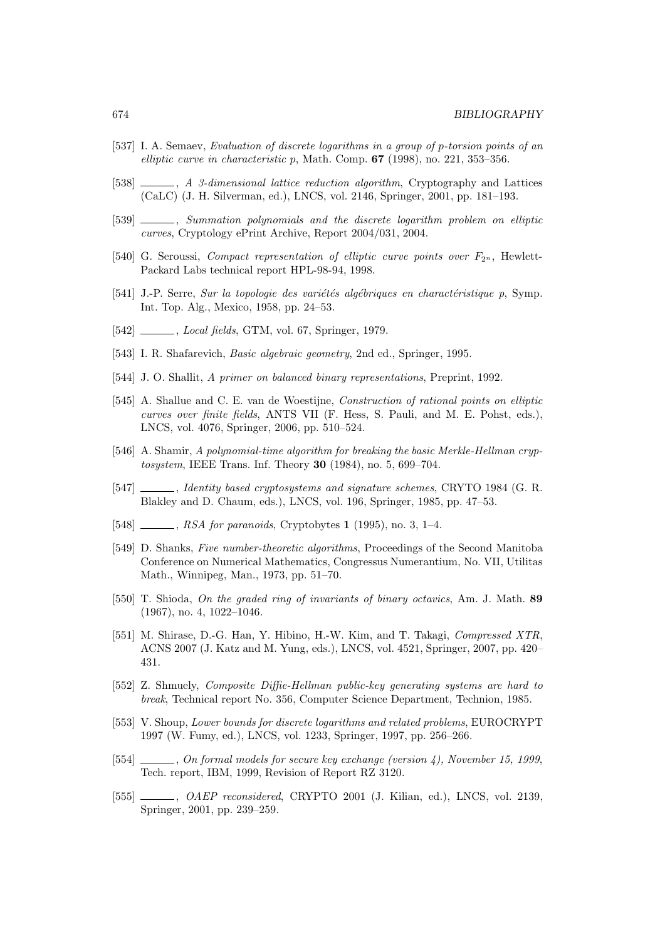- [537] I. A. Semaev, Evaluation of discrete logarithms in a group of p-torsion points of an elliptic curve in characteristic p, Math. Comp.  $67$  (1998), no. 221, 353-356.
- [538]  $\qquad \qquad$ , A 3-dimensional lattice reduction algorithm, Cryptography and Lattices (CaLC) (J. H. Silverman, ed.), LNCS, vol. 2146, Springer, 2001, pp. 181–193.
- [539]  $\_\_\_\_\_\_\$  Summation polynomials and the discrete logarithm problem on elliptic curves, Cryptology ePrint Archive, Report 2004/031, 2004.
- [540] G. Seroussi, Compact representation of elliptic curve points over  $F_{2^n}$ , Hewlett-Packard Labs technical report HPL-98-94, 1998.
- [541] J.-P. Serre, Sur la topologie des variétés algébriques en charactéristique p, Symp. Int. Top. Alg., Mexico, 1958, pp. 24–53.
- [542] , *Local fields*, GTM, vol. 67, Springer, 1979.
- [543] I. R. Shafarevich, Basic algebraic geometry, 2nd ed., Springer, 1995.
- [544] J. O. Shallit, A primer on balanced binary representations, Preprint, 1992.
- [545] A. Shallue and C. E. van de Woestijne, Construction of rational points on elliptic curves over finite fields, ANTS VII (F. Hess, S. Pauli, and M. E. Pohst, eds.), LNCS, vol. 4076, Springer, 2006, pp. 510–524.
- [546] A. Shamir, A polynomial-time algorithm for breaking the basic Merkle-Hellman cryptosystem, IEEE Trans. Inf. Theory 30 (1984), no. 5, 699–704.
- [547]  $\Box$ , Identity based cryptosystems and signature schemes, CRYTO 1984 (G. R. Blakley and D. Chaum, eds.), LNCS, vol. 196, Springer, 1985, pp. 47–53.
- [548] , RSA for paranoids, Cryptobytes 1 (1995), no. 3, 1–4.
- [549] D. Shanks, *Five number-theoretic algorithms*, Proceedings of the Second Manitoba Conference on Numerical Mathematics, Congressus Numerantium, No. VII, Utilitas Math., Winnipeg, Man., 1973, pp. 51–70.
- [550] T. Shioda, On the graded ring of invariants of binary octavics, Am. J. Math. 89 (1967), no. 4, 1022–1046.
- [551] M. Shirase, D.-G. Han, Y. Hibino, H.-W. Kim, and T. Takagi, *Compressed XTR*, ACNS 2007 (J. Katz and M. Yung, eds.), LNCS, vol. 4521, Springer, 2007, pp. 420– 431.
- [552] Z. Shmuely, Composite Diffie-Hellman public-key generating systems are hard to break, Technical report No. 356, Computer Science Department, Technion, 1985.
- [553] V. Shoup, Lower bounds for discrete logarithms and related problems, EUROCRYPT 1997 (W. Fumy, ed.), LNCS, vol. 1233, Springer, 1997, pp. 256–266.
- [554] , On formal models for secure key exchange (version 4), November 15, 1999, Tech. report, IBM, 1999, Revision of Report RZ 3120.
- [555] , OAEP reconsidered, CRYPTO 2001 (J. Kilian, ed.), LNCS, vol. 2139, Springer, 2001, pp. 239–259.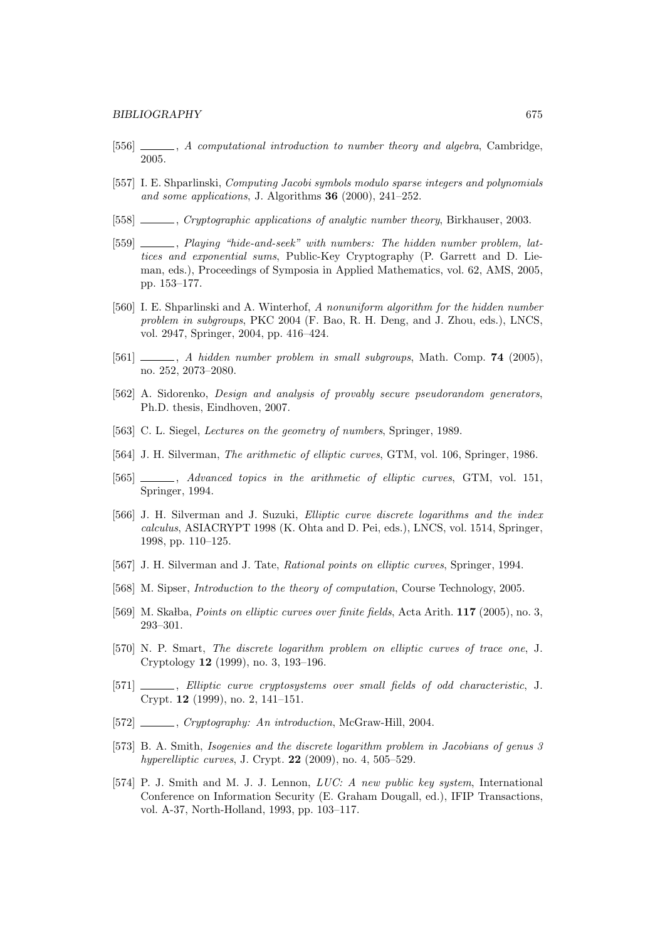- [556]  $\_\_\_\_\$ , A computational introduction to number theory and algebra, Cambridge, 2005.
- [557] I. E. Shparlinski, Computing Jacobi symbols modulo sparse integers and polynomials and some applications, J. Algorithms 36 (2000), 241–252.
- [558] , Cryptographic applications of analytic number theory, Birkhauser, 2003.
- [559]  $\qquad \qquad$ , Playing "hide-and-seek" with numbers: The hidden number problem, lattices and exponential sums, Public-Key Cryptography (P. Garrett and D. Lieman, eds.), Proceedings of Symposia in Applied Mathematics, vol. 62, AMS, 2005, pp. 153–177.
- [560] I. E. Shparlinski and A. Winterhof, A nonuniform algorithm for the hidden number problem in subgroups, PKC 2004 (F. Bao, R. H. Deng, and J. Zhou, eds.), LNCS, vol. 2947, Springer, 2004, pp. 416–424.
- [561]  $\qquad \qquad$ , A hidden number problem in small subgroups, Math. Comp. **74** (2005), no. 252, 2073–2080.
- [562] A. Sidorenko, Design and analysis of provably secure pseudorandom generators, Ph.D. thesis, Eindhoven, 2007.
- [563] C. L. Siegel, Lectures on the geometry of numbers, Springer, 1989.
- [564] J. H. Silverman, *The arithmetic of elliptic curves*, GTM, vol. 106, Springer, 1986.
- [565]  $\qquad \qquad$ , Advanced topics in the arithmetic of elliptic curves, GTM, vol. 151, Springer, 1994.
- [566] J. H. Silverman and J. Suzuki, Elliptic curve discrete logarithms and the index calculus, ASIACRYPT 1998 (K. Ohta and D. Pei, eds.), LNCS, vol. 1514, Springer, 1998, pp. 110–125.
- [567] J. H. Silverman and J. Tate, Rational points on elliptic curves, Springer, 1994.
- [568] M. Sipser, Introduction to the theory of computation, Course Technology, 2005.
- [569] M. Skalba, *Points on elliptic curves over finite fields*, Acta Arith.  $117$  (2005), no. 3, 293–301.
- [570] N. P. Smart, The discrete logarithm problem on elliptic curves of trace one, J. Cryptology 12 (1999), no. 3, 193–196.
- [571]  $\quad$ , Elliptic curve cryptosystems over small fields of odd characteristic, J. Crypt. 12 (1999), no. 2, 141–151.
- [572] , Cryptography: An introduction, McGraw-Hill, 2004.
- [573] B. A. Smith, Isogenies and the discrete logarithm problem in Jacobians of genus 3 hyperelliptic curves, J. Crypt. 22 (2009), no. 4, 505–529.
- [574] P. J. Smith and M. J. J. Lennon, LUC: A new public key system, International Conference on Information Security (E. Graham Dougall, ed.), IFIP Transactions, vol. A-37, North-Holland, 1993, pp. 103–117.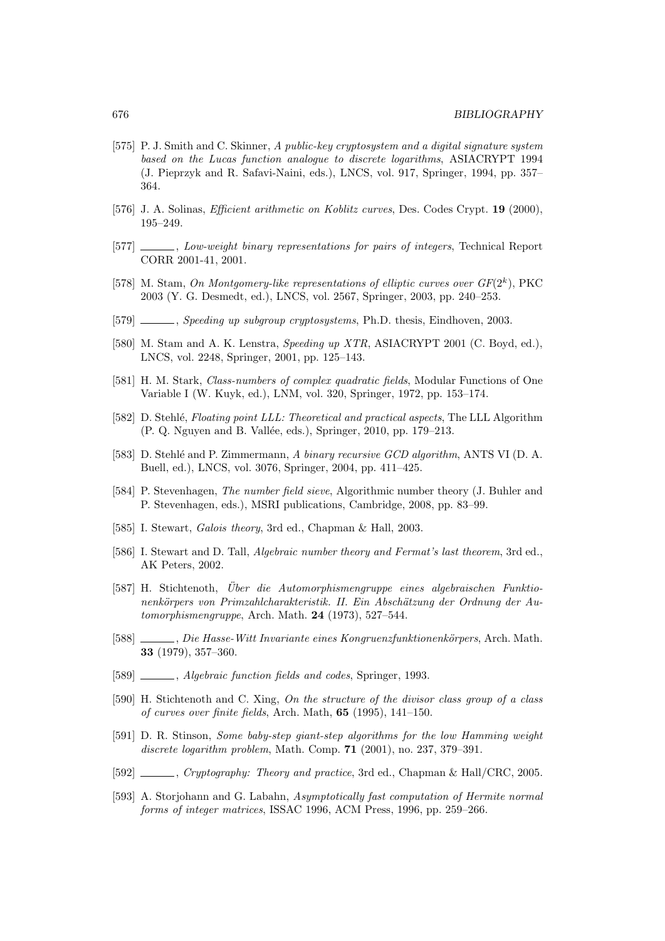- [575] P. J. Smith and C. Skinner, A public-key cryptosystem and a digital signature system based on the Lucas function analogue to discrete logarithms, ASIACRYPT 1994 (J. Pieprzyk and R. Safavi-Naini, eds.), LNCS, vol. 917, Springer, 1994, pp. 357– 364.
- [576] J. A. Solinas, *Efficient arithmetic on Koblitz curves*, Des. Codes Crypt. **19** (2000), 195–249.
- [577]  $\_\_\_\_\_\_\_\_\_\_\_\_\_\_\_\_\_\_\_\_\_\.\_$  Low-weight binary representations for pairs of integers, Technical Report CORR 2001-41, 2001.
- [578] M. Stam, On Montgomery-like representations of elliptic curves over  $GF(2^k)$ . PKC 2003 (Y. G. Desmedt, ed.), LNCS, vol. 2567, Springer, 2003, pp. 240–253.
- [579] , Speeding up subgroup cryptosystems, Ph.D. thesis, Eindhoven, 2003.
- [580] M. Stam and A. K. Lenstra, Speeding up XTR, ASIACRYPT 2001 (C. Boyd, ed.), LNCS, vol. 2248, Springer, 2001, pp. 125–143.
- [581] H. M. Stark, Class-numbers of complex quadratic fields, Modular Functions of One Variable I (W. Kuyk, ed.), LNM, vol. 320, Springer, 1972, pp. 153–174.
- [582] D. Stehlé, Floating point LLL: Theoretical and practical aspects, The LLL Algorithm (P. Q. Nguyen and B. Vall´ee, eds.), Springer, 2010, pp. 179–213.
- [583] D. Stehlé and P. Zimmermann, A binary recursive GCD algorithm, ANTS VI (D. A. Buell, ed.), LNCS, vol. 3076, Springer, 2004, pp. 411–425.
- [584] P. Stevenhagen, The number field sieve, Algorithmic number theory (J. Buhler and P. Stevenhagen, eds.), MSRI publications, Cambridge, 2008, pp. 83–99.
- [585] I. Stewart, *Galois theory*, 3rd ed., Chapman & Hall, 2003.
- [586] I. Stewart and D. Tall, Algebraic number theory and Fermat's last theorem, 3rd ed., AK Peters, 2002.
- [587] H. Stichtenoth, Uber die Automorphismengruppe eines algebraischen Funktio- ¨ nenkörpers von Primzahlcharakteristik. II. Ein Abschätzung der Ordnung der Automorphismengruppe, Arch. Math. 24 (1973), 527–544.
- [588] , Die Hasse-Witt Invariante eines Kongruenzfunktionenkörpers, Arch. Math. 33 (1979), 357–360.
- [589]  $\_\_\_\_\$ n, Algebraic function fields and codes, Springer, 1993.
- [590] H. Stichtenoth and C. Xing, On the structure of the divisor class group of a class of curves over finite fields, Arch. Math, 65 (1995), 141–150.
- [591] D. R. Stinson, Some baby-step giant-step algorithms for the low Hamming weight discrete logarithm problem, Math. Comp. 71 (2001), no. 237, 379-391.
- [592] , Cryptography: Theory and practice, 3rd ed., Chapman & Hall/CRC, 2005.
- [593] A. Storjohann and G. Labahn, Asymptotically fast computation of Hermite normal forms of integer matrices, ISSAC 1996, ACM Press, 1996, pp. 259–266.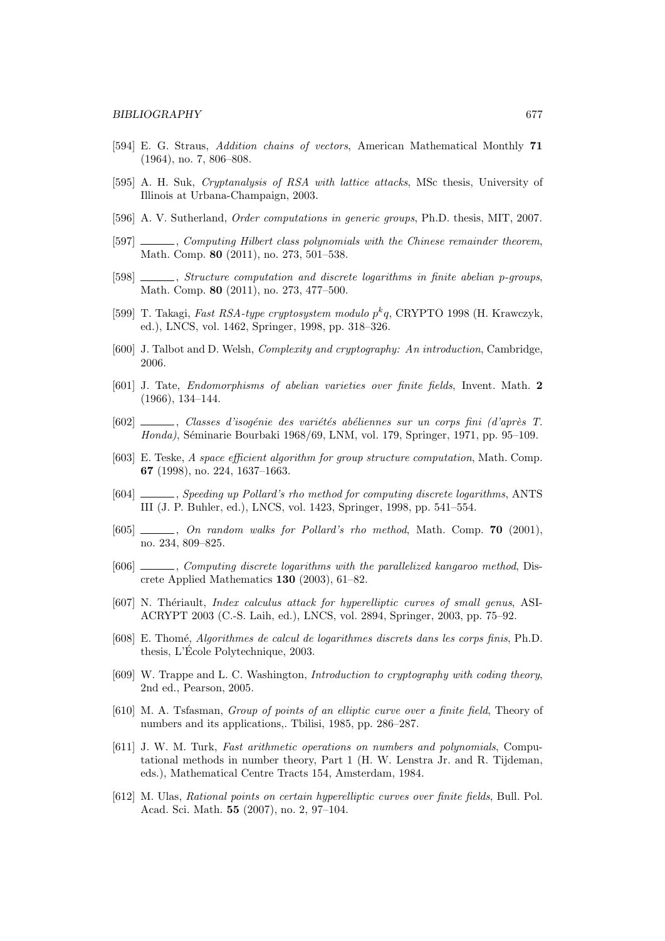- [594] E. G. Straus, Addition chains of vectors, American Mathematical Monthly 71 (1964), no. 7, 806–808.
- [595] A. H. Suk, Cryptanalysis of RSA with lattice attacks, MSc thesis, University of Illinois at Urbana-Champaign, 2003.
- [596] A. V. Sutherland, Order computations in generic groups, Ph.D. thesis, MIT, 2007.
- [597] Computing Hilbert class polynomials with the Chinese remainder theorem, Math. Comp. 80 (2011), no. 273, 501–538.
- [598] , Structure computation and discrete logarithms in finite abelian p-groups, Math. Comp. 80 (2011), no. 273, 477–500.
- [599] T. Takagi, Fast RSA-type cryptosystem modulo  $p^k q$ , CRYPTO 1998 (H. Krawczyk, ed.), LNCS, vol. 1462, Springer, 1998, pp. 318–326.
- [600] J. Talbot and D. Welsh, Complexity and cryptography: An introduction, Cambridge, 2006.
- [601] J. Tate, Endomorphisms of abelian varieties over finite fields, Invent. Math. 2 (1966), 134–144.
- [602]  $\ldots$ , Classes d'isogénie des variétés abéliennes sur un corps fini (d'après T. Honda), Séminarie Bourbaki 1968/69, LNM, vol. 179, Springer, 1971, pp. 95–109.
- [603] E. Teske, A space efficient algorithm for group structure computation, Math. Comp. 67 (1998), no. 224, 1637–1663.
- [604] , Speeding up Pollard's rho method for computing discrete logarithms, ANTS III (J. P. Buhler, ed.), LNCS, vol. 1423, Springer, 1998, pp. 541–554.
- $[605]$  , On random walks for Pollard's rho method, Math. Comp. 70 (2001), no. 234, 809–825.
- [606] , Computing discrete logarithms with the parallelized kangaroo method, Discrete Applied Mathematics 130 (2003), 61–82.
- [607] N. Thériault, Index calculus attack for hyperelliptic curves of small genus, ASI-ACRYPT 2003 (C.-S. Laih, ed.), LNCS, vol. 2894, Springer, 2003, pp. 75–92.
- [608] E. Thom´e, Algorithmes de calcul de logarithmes discrets dans les corps finis, Ph.D. thesis, L'Ecole Polytechnique, 2003. ´
- [609] W. Trappe and L. C. Washington, Introduction to cryptography with coding theory, 2nd ed., Pearson, 2005.
- [610] M. A. Tsfasman, Group of points of an elliptic curve over a finite field, Theory of numbers and its applications,. Tbilisi, 1985, pp. 286–287.
- [611] J. W. M. Turk, Fast arithmetic operations on numbers and polynomials, Computational methods in number theory, Part 1 (H. W. Lenstra Jr. and R. Tijdeman, eds.), Mathematical Centre Tracts 154, Amsterdam, 1984.
- [612] M. Ulas, Rational points on certain hyperelliptic curves over finite fields, Bull. Pol. Acad. Sci. Math. 55 (2007), no. 2, 97–104.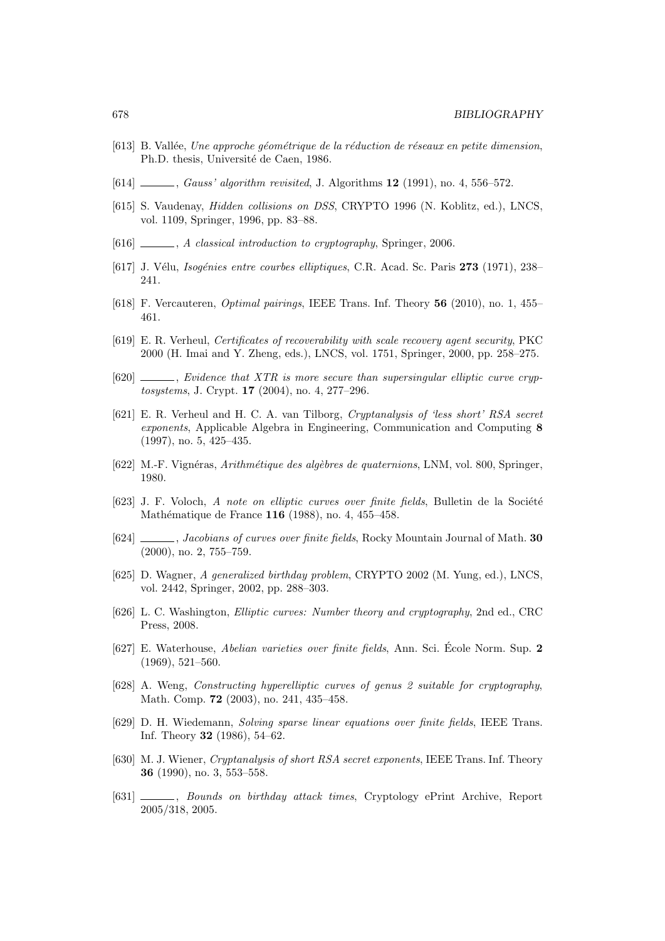- [613] B. Vallée, Une approche géométrique de la réduction de réseaux en petite dimension, Ph.D. thesis, Université de Caen, 1986.
- [614] , Gauss' algorithm revisited, J. Algorithms 12 (1991), no. 4, 556–572.
- [615] S. Vaudenay, Hidden collisions on DSS, CRYPTO 1996 (N. Koblitz, ed.), LNCS, vol. 1109, Springer, 1996, pp. 83–88.
- [616]  $\_\_\_\_\_$ , A classical introduction to cryptography, Springer, 2006.
- $[617]$  J. Vélu, Isogénies entre courbes elliptiques, C.R. Acad. Sc. Paris 273 (1971), 238– 241.
- [618] F. Vercauteren, Optimal pairings, IEEE Trans. Inf. Theory 56 (2010), no. 1, 455– 461.
- [619] E. R. Verheul, Certificates of recoverability with scale recovery agent security, PKC 2000 (H. Imai and Y. Zheng, eds.), LNCS, vol. 1751, Springer, 2000, pp. 258–275.
- [620] , Evidence that XTR is more secure than supersingular elliptic curve cryptosystems, J. Crypt. 17 (2004), no. 4, 277–296.
- [621] E. R. Verheul and H. C. A. van Tilborg, Cryptanalysis of 'less short' RSA secret exponents, Applicable Algebra in Engineering, Communication and Computing 8 (1997), no. 5, 425–435.
- [622] M.-F. Vignéras, Arithmétique des algèbres de quaternions, LNM, vol. 800, Springer, 1980.
- $[623]$  J. F. Voloch, A note on elliptic curves over finite fields, Bulletin de la Société Mathématique de France 116 (1988), no. 4, 455–458.
- [624]  $\frac{1}{\sqrt{1-\frac{1}{\sqrt{1-\frac{1}{\sqrt{1-\frac{1}{\sqrt{1-\frac{1}{\sqrt{1-\frac{1}{\sqrt{1-\frac{1}{\sqrt{1-\frac{1}{\sqrt{1-\frac{1}{\sqrt{1-\frac{1}{\sqrt{1-\frac{1}{\sqrt{1-\frac{1}{\sqrt{1-\frac{1}{\sqrt{1-\frac{1}{\sqrt{1-\frac{1}{\sqrt{1-\frac{1}{\sqrt{1-\frac{1}{\sqrt{1-\frac{1}{\sqrt{1-\frac{1}{\sqrt{1-\frac{1}{\sqrt{1-\frac{1}{\sqrt{1-\frac{1}{\sqrt{1-\frac{1}{\sqrt{1-\frac{1}{\sqrt{$ (2000), no. 2, 755–759.
- [625] D. Wagner, A generalized birthday problem, CRYPTO 2002 (M. Yung, ed.), LNCS, vol. 2442, Springer, 2002, pp. 288–303.
- [626] L. C. Washington, Elliptic curves: Number theory and cryptography, 2nd ed., CRC Press, 2008.
- [627] E. Waterhouse, Abelian varieties over finite fields, Ann. Sci. Ecole Norm. Sup. 2 (1969), 521–560.
- [628] A. Weng, Constructing hyperelliptic curves of genus 2 suitable for cryptography, Math. Comp. 72 (2003), no. 241, 435–458.
- [629] D. H. Wiedemann, Solving sparse linear equations over finite fields, IEEE Trans. Inf. Theory 32 (1986), 54–62.
- [630] M. J. Wiener, Cryptanalysis of short RSA secret exponents, IEEE Trans. Inf. Theory 36 (1990), no. 3, 553–558.
- [631]  $\_\_\_\_\_\_\$  Bounds on birthday attack times, Cryptology ePrint Archive, Report 2005/318, 2005.